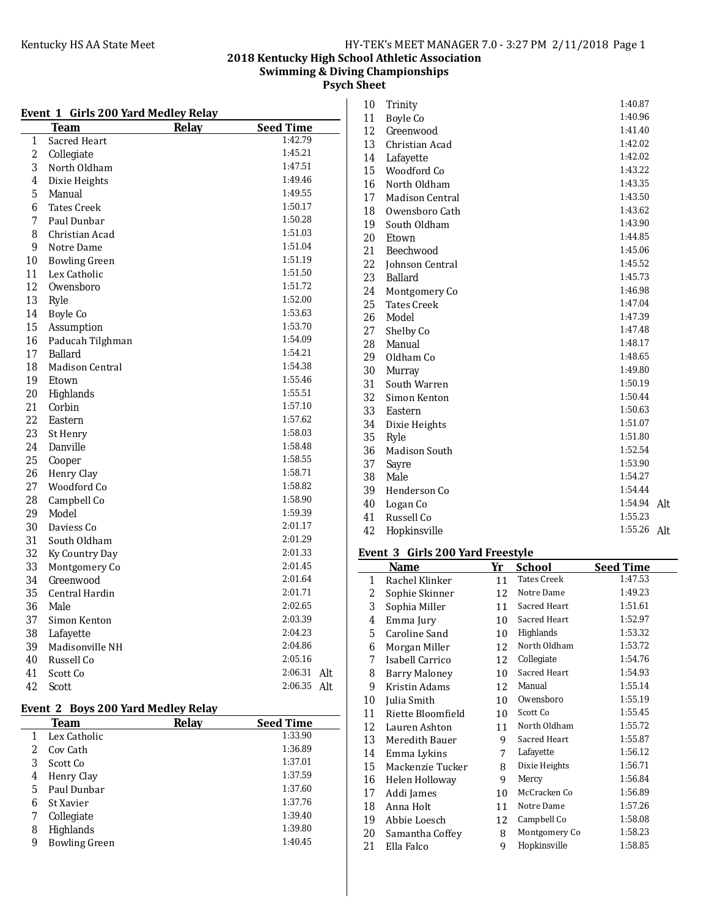### **2018 Kentucky High School Athletic Association Swimming & Diving Championships Psych Sheet**

# **Event 1 Girls 200 Yard Medley Relay**

|                | Team                   | Relay | <b>Seed Time</b> |     |
|----------------|------------------------|-------|------------------|-----|
| 1              | Sacred Heart           |       | 1:42.79          |     |
| $\overline{2}$ | Collegiate             |       | 1:45.21          |     |
| 3              | North Oldham           |       | 1:47.51          |     |
| 4              | Dixie Heights          |       | 1:49.46          |     |
| 5              | Manual                 |       | 1:49.55          |     |
| 6              | Tates Creek            |       | 1:50.17          |     |
| 7              | Paul Dunbar            |       | 1:50.28          |     |
| 8              | Christian Acad         |       | 1:51.03          |     |
| 9              | Notre Dame             |       | 1:51.04          |     |
| 10             | <b>Bowling Green</b>   |       | 1:51.19          |     |
| 11             | Lex Catholic           |       | 1:51.50          |     |
| 12             | Owensboro              |       | 1:51.72          |     |
| 13             | Ryle                   |       | 1:52.00          |     |
| 14             | <b>Boyle Co</b>        |       | 1:53.63          |     |
| 15             | Assumption             |       | 1:53.70          |     |
| 16             | Paducah Tilghman       |       | 1:54.09          |     |
| 17             | <b>Ballard</b>         |       | 1:54.21          |     |
| 18             | <b>Madison Central</b> |       | 1:54.38          |     |
| 19             | Etown                  |       | 1:55.46          |     |
| 20             | Highlands              |       | 1:55.51          |     |
| 21             | Corbin                 |       | 1:57.10          |     |
| 22             | Eastern                |       | 1:57.62          |     |
| 23             | St Henry               |       | 1:58.03          |     |
| 24             | Danville               |       | 1:58.48          |     |
| 25             | Cooper                 |       | 1:58.55          |     |
| 26             | Henry Clay             |       | 1:58.71          |     |
| 27             | Woodford Co            |       | 1:58.82          |     |
| 28             | Campbell Co            |       | 1:58.90          |     |
| 29             | Model                  |       | 1:59.39          |     |
| 30             | Daviess Co             |       | 2:01.17          |     |
| 31             | South Oldham           |       | 2:01.29          |     |
| 32             | Ky Country Day         |       | 2:01.33          |     |
| 33             | Montgomery Co          |       | 2:01.45          |     |
| 34             | Greenwood              |       | 2:01.64          |     |
| 35             | Central Hardin         |       | 2:01.71          |     |
| 36             | Male                   |       | 2:02.65          |     |
| 37             | Simon Kenton           |       | 2:03.39          |     |
| 38             | Lafayette              |       | 2:04.23          |     |
| 39             | Madisonville NH        |       | 2:04.86          |     |
| 40             | Russell Co             |       | 2:05.16          |     |
| 41             | Scott Co               |       | 2:06.31          | Alt |
| 42             | Scott                  |       | 2:06.35          | Alt |

# **Event 2 Boys 200 Yard Medley Relay**

| Team                      | <b>Relav</b> | <b>Seed Time</b> |
|---------------------------|--------------|------------------|
| Lex Catholic              |              | 1:33.90          |
| Cov Cath<br>2             |              | 1:36.89          |
| 3<br>Scott Co             |              | 1:37.01          |
| Henry Clay<br>4           |              | 1:37.59          |
| Paul Dunbar<br>5          |              | 1:37.60          |
| St Xavier<br>6            |              | 1:37.76          |
| Collegiate                |              | 1:39.40          |
| Highlands<br>8            |              | 1:39.80          |
| <b>Bowling Green</b><br>9 |              | 1:40.45          |
|                           |              |                  |

| 10 | Trinity                | 1:40.87 |     |
|----|------------------------|---------|-----|
| 11 | Boyle Co               | 1:40.96 |     |
| 12 | Greenwood              | 1:41.40 |     |
| 13 | Christian Acad         | 1:42.02 |     |
| 14 | Lafayette              | 1:42.02 |     |
| 15 | Woodford Co            | 1:43.22 |     |
| 16 | North Oldham           | 1:43.35 |     |
| 17 | <b>Madison Central</b> | 1:43.50 |     |
| 18 | Owensboro Cath         | 1:43.62 |     |
| 19 | South Oldham           | 1:43.90 |     |
| 20 | Etown                  | 1:44.85 |     |
| 21 | Beechwood              | 1:45.06 |     |
| 22 | Johnson Central        | 1:45.52 |     |
| 23 | <b>Ballard</b>         | 1:45.73 |     |
| 24 | Montgomery Co          | 1:46.98 |     |
| 25 | <b>Tates Creek</b>     | 1:47.04 |     |
| 26 | Model                  | 1:47.39 |     |
| 27 | Shelby Co              | 1:47.48 |     |
| 28 | Manual                 | 1:48.17 |     |
| 29 | Oldham Co              | 1:48.65 |     |
| 30 | Murray                 | 1:49.80 |     |
| 31 | South Warren           | 1:50.19 |     |
| 32 | Simon Kenton           | 1:50.44 |     |
| 33 | Eastern                | 1:50.63 |     |
| 34 | Dixie Heights          | 1:51.07 |     |
| 35 | Ryle                   | 1:51.80 |     |
| 36 | Madison South          | 1:52.54 |     |
| 37 | Sayre                  | 1:53.90 |     |
| 38 | Male                   | 1:54.27 |     |
| 39 | Henderson Co           | 1:54.44 |     |
| 40 | Logan Co               | 1:54.94 | Alt |
| 41 | Russell Co             | 1:55.23 |     |
| 42 | Hopkinsville           | 1:55.26 | Alt |

# Event 3 Girls 200 Yard Freestyle

|                   | <b>Name</b>          | Yr | <b>School</b>      | <b>Seed Time</b> |
|-------------------|----------------------|----|--------------------|------------------|
| 1                 | Rachel Klinker       | 11 | <b>Tates Creek</b> | 1:47.53          |
| 2                 | Sophie Skinner       | 12 | Notre Dame         | 1:49.23          |
| 3                 | Sophia Miller        | 11 | Sacred Heart       | 1:51.61          |
| 4                 | Emma Jury            | 10 | Sacred Heart       | 1:52.97          |
| 5                 | Caroline Sand        | 10 | Highlands          | 1:53.32          |
| 6                 | Morgan Miller        | 12 | North Oldham       | 1:53.72          |
| 7                 | Isabell Carrico      | 12 | Collegiate         | 1:54.76          |
| 8                 | <b>Barry Maloney</b> | 10 | Sacred Heart       | 1:54.93          |
| 9                 | Kristin Adams        | 12 | Manual             | 1:55.14          |
| 10                | Julia Smith          | 10 | Owensboro          | 1:55.19          |
| 11                | Riette Bloomfield    | 10 | Scott Co           | 1:55.45          |
| $12 \overline{ }$ | Lauren Ashton        | 11 | North Oldham       | 1:55.72          |
| 13                | Meredith Bauer       | 9  | Sacred Heart       | 1:55.87          |
| 14                | Emma Lykins          | 7  | Lafayette          | 1:56.12          |
| 15                | Mackenzie Tucker     | 8  | Dixie Heights      | 1:56.71          |
| 16                | Helen Holloway       | 9  | Mercy              | 1:56.84          |
| 17                | Addi James           | 10 | McCracken Co       | 1:56.89          |
| 18                | Anna Holt            | 11 | Notre Dame         | 1:57.26          |
| 19                | Abbie Loesch         | 12 | Campbell Co        | 1:58.08          |
| 20                | Samantha Coffey      | 8  | Montgomery Co      | 1:58.23          |
| 21                | Ella Falco           | 9  | Hopkinsville       | 1:58.85          |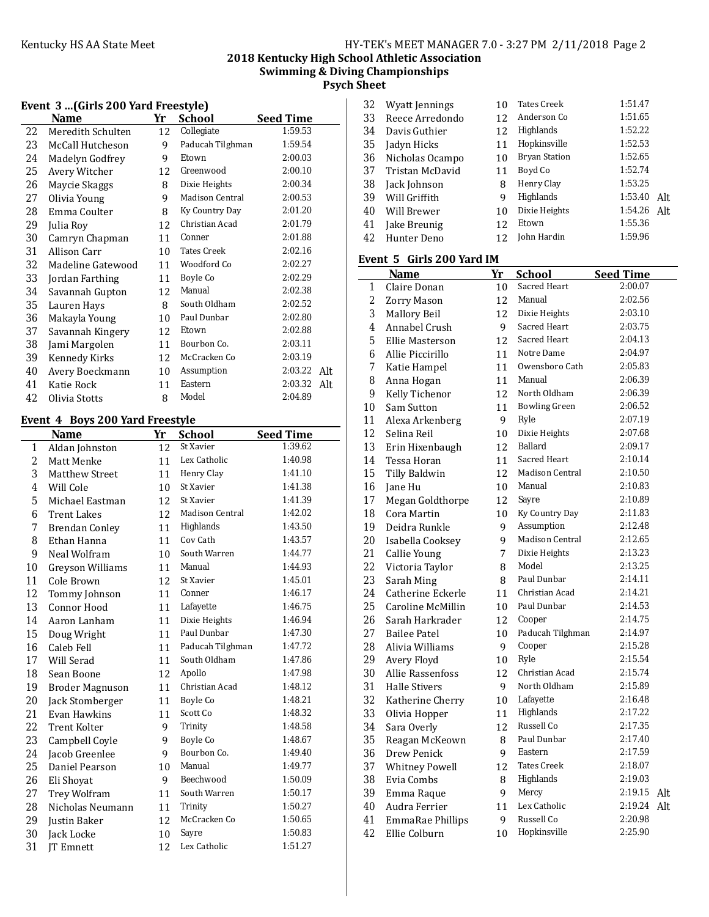# **2018 Kentucky High School Athletic Association Swimming & Diving Championships**

**Psych Sheet**

|    | Event 3 (Girls 200 Yard Freestyle) |    |                    |                  |  |
|----|------------------------------------|----|--------------------|------------------|--|
|    | Name                               | Yr | <b>School</b>      | <b>Seed Time</b> |  |
| 22 | Meredith Schulten                  | 12 | Collegiate         | 1:59.53          |  |
| 23 | McCall Hutcheson                   | 9  | Paducah Tilghman   | 1:59.54          |  |
| 24 | Madelyn Godfrey                    | 9  | Etown              | 2:00.03          |  |
| 25 | Avery Witcher                      | 12 | Greenwood          | 2:00.10          |  |
| 26 | Maycie Skaggs                      | 8  | Dixie Heights      | 2:00.34          |  |
| 27 | Olivia Young                       | 9  | Madison Central    | 2:00.53          |  |
| 28 | Emma Coulter                       | 8  | Ky Country Day     | 2:01.20          |  |
| 29 | Julia Roy                          | 12 | Christian Acad     | 2:01.79          |  |
| 30 | Camryn Chapman                     | 11 | Conner             | 2:01.88          |  |
| 31 | Allison Carr                       | 10 | <b>Tates Creek</b> | 2:02.16          |  |
| 32 | Madeline Gatewood                  | 11 | Woodford Co        | 2:02.27          |  |
| 33 | Jordan Farthing                    | 11 | Boyle Co           | 2:02.29          |  |
| 34 | Savannah Gupton                    | 12 | Manual             | 2:02.38          |  |
| 35 | Lauren Hays                        | 8  | South Oldham       | 2:02.52          |  |
| 36 | Makayla Young                      | 10 | Paul Dunbar        | 2:02.80          |  |
| 37 | Savannah Kingery                   | 12 | Etown              | 2:02.88          |  |
| 38 | Jami Margolen                      | 11 | Bourbon Co.        | 2:03.11          |  |
| 39 | Kennedy Kirks                      | 12 | McCracken Co       | 2:03.19          |  |
| 40 | Avery Boeckmann                    | 10 | Assumption         | 2:03.22<br>Alt   |  |
| 41 | Katie Rock                         | 11 | Eastern            | 2:03.32<br>Alt   |  |
| 42 | Olivia Stotts                      | 8  | Model              | 2:04.89          |  |

# Event 4 Boys 200 Yard Freestyle

|    | $Doy3 = 00$ and recogne |    |                  |                  |  |
|----|-------------------------|----|------------------|------------------|--|
|    | Name                    | Yr | <b>School</b>    | <b>Seed Time</b> |  |
| 1  | Aldan Johnston          | 12 | St Xavier        | 1:39.62          |  |
| 2  | Matt Menke              | 11 | Lex Catholic     | 1:40.98          |  |
| 3  | <b>Matthew Street</b>   | 11 | Henry Clay       | 1:41.10          |  |
| 4  | Will Cole               | 10 | St Xavier        | 1:41.38          |  |
| 5  | Michael Eastman         | 12 | St Xavier        | 1:41.39          |  |
| 6  | <b>Trent Lakes</b>      | 12 | Madison Central  | 1:42.02          |  |
| 7  | <b>Brendan Conley</b>   | 11 | Highlands        | 1:43.50          |  |
| 8  | Ethan Hanna             | 11 | Cov Cath         | 1:43.57          |  |
| 9  | Neal Wolfram            | 10 | South Warren     | 1:44.77          |  |
| 10 | Greyson Williams        | 11 | Manual           | 1:44.93          |  |
| 11 | Cole Brown              | 12 | St Xavier        | 1:45.01          |  |
| 12 | Tommy Johnson           | 11 | Conner           | 1:46.17          |  |
| 13 | Connor Hood             | 11 | Lafayette        | 1:46.75          |  |
| 14 | Aaron Lanham            | 11 | Dixie Heights    | 1:46.94          |  |
| 15 | Doug Wright             | 11 | Paul Dunbar      | 1:47.30          |  |
| 16 | Caleb Fell              | 11 | Paducah Tilghman | 1:47.72          |  |
| 17 | Will Serad              | 11 | South Oldham     | 1:47.86          |  |
| 18 | Sean Boone              | 12 | Apollo           | 1:47.98          |  |
| 19 | <b>Broder Magnuson</b>  | 11 | Christian Acad   | 1:48.12          |  |
| 20 | Jack Stomberger         | 11 | Boyle Co         | 1:48.21          |  |
| 21 | Evan Hawkins            | 11 | Scott Co         | 1:48.32          |  |
| 22 | <b>Trent Kolter</b>     | 9  | Trinity          | 1:48.58          |  |
| 23 | Campbell Coyle          | 9  | Boyle Co         | 1:48.67          |  |
| 24 | Jacob Greenlee          | 9  | Bourbon Co.      | 1:49.40          |  |
| 25 | Daniel Pearson          | 10 | Manual           | 1:49.77          |  |
| 26 | Eli Shoyat              | 9  | Beechwood        | 1:50.09          |  |
| 27 | Trey Wolfram            | 11 | South Warren     | 1:50.17          |  |
| 28 | Nicholas Neumann        | 11 | Trinity          | 1:50.27          |  |
| 29 | Justin Baker            | 12 | McCracken Co     | 1:50.65          |  |
| 30 | Jack Locke              | 10 | Sayre            | 1:50.83          |  |
| 31 | JT Emnett               | 12 | Lex Catholic     | 1:51.27          |  |
|    |                         |    |                  |                  |  |

| 32 | Wyatt Jennings  | 10 | <b>Tates Creek</b>   | 1:51.47 |     |
|----|-----------------|----|----------------------|---------|-----|
| 33 | Reece Arredondo | 12 | Anderson Co          | 1:51.65 |     |
| 34 | Davis Guthier   | 12 | Highlands            | 1:52.22 |     |
| 35 | Jadyn Hicks     | 11 | Hopkinsville         | 1:52.53 |     |
| 36 | Nicholas Ocampo | 10 | <b>Bryan Station</b> | 1:52.65 |     |
| 37 | Tristan McDavid | 11 | Boyd Co              | 1:52.74 |     |
| 38 | Jack Johnson    | 8  | Henry Clay           | 1:53.25 |     |
| 39 | Will Griffith   | q  | Highlands            | 1:53.40 | Alt |
| 40 | Will Brewer     | 10 | Dixie Heights        | 1:54.26 | Alt |
| 41 | Jake Breunig    | 12 | Etown                | 1:55.36 |     |
| 42 | Hunter Deno     | 12 | John Hardin          | 1:59.96 |     |

# Event 5 Girls 200 Yard IM

|                | <b>Name</b>             | Yr | <b>School</b>          | <b>Seed Time</b> |
|----------------|-------------------------|----|------------------------|------------------|
| 1              | Claire Donan            | 10 | Sacred Heart           | 2:00.07          |
| $\overline{2}$ | <b>Zorry Mason</b>      | 12 | Manual                 | 2:02.56          |
| 3              | Mallory Beil            | 12 | Dixie Heights          | 2:03.10          |
| 4              | Annabel Crush           | 9  | Sacred Heart           | 2:03.75          |
| 5              | Ellie Masterson         | 12 | Sacred Heart           | 2:04.13          |
| 6              | Allie Piccirillo        | 11 | Notre Dame             | 2:04.97          |
| 7              | Katie Hampel            | 11 | Owensboro Cath         | 2:05.83          |
| 8              | Anna Hogan              | 11 | Manual                 | 2:06.39          |
| 9              | Kelly Tichenor          | 12 | North Oldham           | 2:06.39          |
| 10             | Sam Sutton              | 11 | <b>Bowling Green</b>   | 2:06.52          |
| 11             | Alexa Arkenberg         | 9  | Ryle                   | 2:07.19          |
| 12             | Selina Reil             | 10 | Dixie Heights          | 2:07.68          |
| 13             | Erin Hixenbaugh         | 12 | Ballard                | 2:09.17          |
| 14             | Tessa Horan             | 11 | Sacred Heart           | 2:10.14          |
| 15             | Tilly Baldwin           | 12 | <b>Madison Central</b> | 2:10.50          |
| 16             | Jane Hu                 | 10 | Manual                 | 2:10.83          |
| 17             | Megan Goldthorpe        | 12 | Sayre                  | 2:10.89          |
| 18             | Cora Martin             | 10 | Ky Country Day         | 2:11.83          |
| 19             | Deidra Runkle           | 9  | Assumption             | 2:12.48          |
| 20             | Isabella Cooksey        | 9  | <b>Madison Central</b> | 2:12.65          |
| 21             | Callie Young            | 7  | Dixie Heights          | 2:13.23          |
| 22             | Victoria Taylor         | 8  | Model                  | 2:13.25          |
| 23             | Sarah Ming              | 8  | Paul Dunbar            | 2:14.11          |
| 24             | Catherine Eckerle       | 11 | Christian Acad         | 2:14.21          |
| 25             | Caroline McMillin       | 10 | Paul Dunbar            | 2:14.53          |
| 26             | Sarah Harkrader         | 12 | Cooper                 | 2:14.75          |
| 27             | <b>Bailee Patel</b>     | 10 | Paducah Tilghman       | 2:14.97          |
| 28             | Alivia Williams         | 9  | Cooper                 | 2:15.28          |
| 29             | Avery Floyd             | 10 | Ryle                   | 2:15.54          |
| 30             | <b>Allie Rassenfoss</b> | 12 | Christian Acad         | 2:15.74          |
| 31             | <b>Halle Stivers</b>    | 9  | North Oldham           | 2:15.89          |
| 32             | Katherine Cherry        | 10 | Lafayette              | 2:16.48          |
| 33             | Olivia Hopper           | 11 | Highlands              | 2:17.22          |
| 34             | Sara Overly             | 12 | Russell Co             | 2:17.35          |
| 35             | Reagan McKeown          | 8  | Paul Dunbar            | 2:17.40          |
| 36             | Drew Penick             | 9  | Eastern                | 2:17.59          |
| 37             | <b>Whitney Powell</b>   | 12 | <b>Tates Creek</b>     | 2:18.07          |
| 38             | Evia Combs              | 8  | Highlands              | 2:19.03          |
| 39             | Emma Raque              | 9  | Mercy                  | 2:19.15<br>Alt   |
| 40             | Audra Ferrier           | 11 | Lex Catholic           | 2:19.24<br>Alt   |
| 41             | EmmaRae Phillips        | 9  | Russell Co             | 2:20.98          |
| 42             | Ellie Colburn           | 10 | Hopkinsville           | 2:25.90          |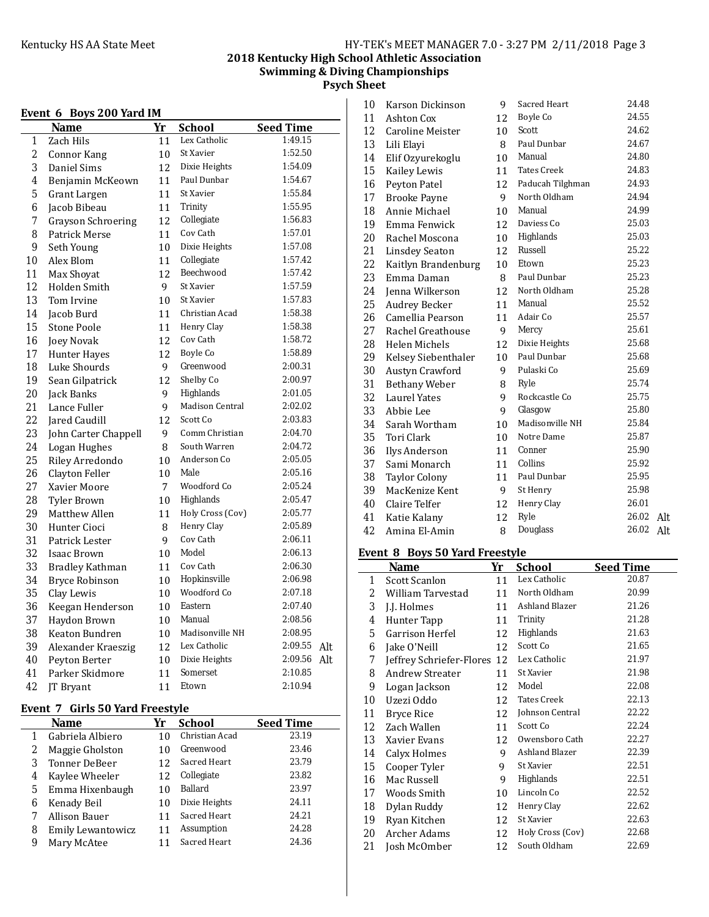# **2018 Kentucky High School Athletic Association Swimming & Diving Championships Psych Sheet**

|  |  |  | Event 6 Boys 200 Yard IM |
|--|--|--|--------------------------|
|--|--|--|--------------------------|

|    | TEIIL O<br><b>DUYS 400 TATU TM</b> |    |                  |                  |     |
|----|------------------------------------|----|------------------|------------------|-----|
|    | Name                               | Yr | <b>School</b>    | <b>Seed Time</b> |     |
| 1  | Zach Hils                          | 11 | Lex Catholic     | 1:49.15          |     |
| 2  | Connor Kang                        | 10 | St Xavier        | 1:52.50          |     |
| 3  | Daniel Sims                        | 12 | Dixie Heights    | 1:54.09          |     |
| 4  | Benjamin McKeown                   | 11 | Paul Dunbar      | 1:54.67          |     |
| 5  | Grant Largen                       | 11 | St Xavier        | 1:55.84          |     |
| 6  | Jacob Bibeau                       | 11 | Trinity          | 1:55.95          |     |
| 7  | Grayson Schroering                 | 12 | Collegiate       | 1:56.83          |     |
| 8  | Patrick Merse                      | 11 | Cov Cath         | 1:57.01          |     |
| 9  | Seth Young                         | 10 | Dixie Heights    | 1:57.08          |     |
| 10 | Alex Blom                          | 11 | Collegiate       | 1:57.42          |     |
| 11 | Max Shoyat                         | 12 | Beechwood        | 1:57.42          |     |
| 12 | Holden Smith                       | 9  | St Xavier        | 1:57.59          |     |
| 13 | Tom Irvine                         | 10 | St Xavier        | 1:57.83          |     |
| 14 | Jacob Burd                         | 11 | Christian Acad   | 1:58.38          |     |
| 15 | <b>Stone Poole</b>                 | 11 | Henry Clay       | 1:58.38          |     |
| 16 | Joey Novak                         | 12 | Cov Cath         | 1:58.72          |     |
| 17 | Hunter Hayes                       | 12 | Boyle Co         | 1:58.89          |     |
| 18 | Luke Shourds                       | 9  | Greenwood        | 2:00.31          |     |
| 19 | Sean Gilpatrick                    | 12 | Shelby Co        | 2:00.97          |     |
| 20 | Jack Banks                         | 9  | Highlands        | 2:01.05          |     |
| 21 | Lance Fuller                       | 9  | Madison Central  | 2:02.02          |     |
| 22 | Jared Caudill                      | 12 | Scott Co         | 2:03.83          |     |
| 23 | John Carter Chappell               | 9  | Comm Christian   | 2:04.70          |     |
| 24 | Logan Hughes                       | 8  | South Warren     | 2:04.72          |     |
| 25 | Riley Arredondo                    | 10 | Anderson Co      | 2:05.05          |     |
| 26 | Clayton Feller                     | 10 | Male             | 2:05.16          |     |
| 27 | Xavier Moore                       | 7  | Woodford Co      | 2:05.24          |     |
| 28 | <b>Tyler Brown</b>                 | 10 | Highlands        | 2:05.47          |     |
| 29 | Matthew Allen                      | 11 | Holy Cross (Cov) | 2:05.77          |     |
| 30 | Hunter Cioci                       | 8  | Henry Clay       | 2:05.89          |     |
| 31 | Patrick Lester                     | 9  | Cov Cath         | 2:06.11          |     |
| 32 | <b>Isaac Brown</b>                 | 10 | Model            | 2:06.13          |     |
| 33 | <b>Bradley Kathman</b>             | 11 | Cov Cath         | 2:06.30          |     |
| 34 | <b>Bryce Robinson</b>              | 10 | Hopkinsville     | 2:06.98          |     |
| 35 | Clay Lewis                         | 10 | Woodford Co      | 2:07.18          |     |
| 36 | Keegan Henderson                   | 10 | Eastern          | 2:07.40          |     |
| 37 | Haydon Brown                       | 10 | Manual           | 2:08.56          |     |
| 38 | Keaton Bundren                     | 10 | Madisonville NH  | 2:08.95          |     |
| 39 | Alexander Kraeszig                 | 12 | Lex Catholic     | 2:09.55          | Alt |
| 40 | Peyton Berter                      | 10 | Dixie Heights    | 2:09.56          | Alt |
| 41 | Parker Skidmore                    | 11 | Somerset         | 2:10.85          |     |
| 42 | JT Bryant                          | 11 | Etown            | 2:10.94          |     |
|    |                                    |    |                  |                  |     |

# Event 7 Girls 50 Yard Freestyle

|   | Name              | Yr | <b>School</b>  | <b>Seed Time</b> |
|---|-------------------|----|----------------|------------------|
|   | Gabriela Albiero  | 10 | Christian Acad | 23.19            |
|   | Maggie Gholston   | 10 | Greenwood      | 23.46            |
| 3 | Tonner DeBeer     | 12 | Sacred Heart   | 23.79            |
| 4 | Kaylee Wheeler    | 12 | Collegiate     | 23.82            |
| 5 | Emma Hixenbaugh   | 10 | <b>Ballard</b> | 23.97            |
| 6 | Kenady Beil       | 10 | Dixie Heights  | 24.11            |
|   | Allison Bauer     | 11 | Sacred Heart   | 24.21            |
| 8 | Emily Lewantowicz | 11 | Assumption     | 24.28            |
| 9 | Mary McAtee       |    | Sacred Heart   | 24.36            |

| 10                | Karson Dickinson        | 9  | Sacred Heart       | 24.48 |     |
|-------------------|-------------------------|----|--------------------|-------|-----|
| 11                | Ashton Cox              | 12 | Boyle Co           | 24.55 |     |
| $12 \overline{ }$ | <b>Caroline Meister</b> | 10 | Scott              | 24.62 |     |
| 13                | Lili Elayi              | 8  | Paul Dunbar        | 24.67 |     |
| 14                | Elif Ozyurekoglu        | 10 | Manual             | 24.80 |     |
| 15                | Kailey Lewis            | 11 | <b>Tates Creek</b> | 24.83 |     |
| 16                | Peyton Patel            | 12 | Paducah Tilghman   | 24.93 |     |
| 17                | <b>Brooke Payne</b>     | 9  | North Oldham       | 24.94 |     |
| 18                | Annie Michael           | 10 | Manual             | 24.99 |     |
| 19                | Emma Fenwick            | 12 | Daviess Co         | 25.03 |     |
| 20                | Rachel Moscona          | 10 | Highlands          | 25.03 |     |
| 21                | <b>Linsdey Seaton</b>   | 12 | Russell            | 25.22 |     |
| 22                | Kaitlyn Brandenburg     | 10 | Etown              | 25.23 |     |
| 23                | Emma Daman              | 8  | Paul Dunbar        | 25.23 |     |
| 24                | Jenna Wilkerson         | 12 | North Oldham       | 25.28 |     |
| 25                | <b>Audrey Becker</b>    | 11 | Manual             | 25.52 |     |
| 26                | Camellia Pearson        | 11 | Adair Co           | 25.57 |     |
| 27                | Rachel Greathouse       | 9  | Mercy              | 25.61 |     |
| 28                | Helen Michels           | 12 | Dixie Heights      | 25.68 |     |
| 29                | Kelsey Siebenthaler     | 10 | Paul Dunbar        | 25.68 |     |
| 30                | Austyn Crawford         | 9  | Pulaski Co         | 25.69 |     |
| 31                | <b>Bethany Weber</b>    | 8  | Ryle               | 25.74 |     |
| 32                | <b>Laurel Yates</b>     | 9  | Rockcastle Co      | 25.75 |     |
| 33                | Abbie Lee               | 9  | Glasgow            | 25.80 |     |
| 34                | Sarah Wortham           | 10 | Madisonville NH    | 25.84 |     |
| 35                | Tori Clark              | 10 | Notre Dame         | 25.87 |     |
| 36                | Ilys Anderson           | 11 | Conner             | 25.90 |     |
| 37                | Sami Monarch            | 11 | Collins            | 25.92 |     |
| 38                | <b>Taylor Colony</b>    | 11 | Paul Dunbar        | 25.95 |     |
| 39                | MacKenize Kent          | 9  | St Henry           | 25.98 |     |
| 40                | Claire Telfer           | 12 | Henry Clay         | 26.01 |     |
| 41                | Katie Kalany            | 12 | Ryle               | 26.02 | Alt |
| 42                | Amina El-Amin           | 8  | Douglass           | 26.02 | Alt |

# Event 8 Boys 50 Yard Freestyle

|    | <b>Name</b>              | Yr | School             | <b>Seed Time</b> |
|----|--------------------------|----|--------------------|------------------|
| 1  | <b>Scott Scanlon</b>     | 11 | Lex Catholic       | 20.87            |
| 2  | William Tarvestad        | 11 | North Oldham       | 20.99            |
| 3  | J.J. Holmes              | 11 | Ashland Blazer     | 21.26            |
| 4  | Hunter Tapp              | 11 | Trinity            | 21.28            |
| 5  | Garrison Herfel          | 12 | <b>Highlands</b>   | 21.63            |
| 6  | Jake O'Neill             | 12 | Scott Co           | 21.65            |
| 7  | Jeffrey Schriefer-Flores | 12 | Lex Catholic       | 21.97            |
| 8  | <b>Andrew Streater</b>   | 11 | St Xavier          | 21.98            |
| 9  | Logan Jackson            | 12 | Model              | 22.08            |
| 10 | Uzezi Oddo               | 12 | <b>Tates Creek</b> | 22.13            |
| 11 | <b>Bryce Rice</b>        | 12 | Johnson Central    | 22.22            |
| 12 | Zach Wallen              | 11 | Scott Co           | 22.24            |
| 13 | Xavier Evans             | 12 | Owensboro Cath     | 22.27            |
| 14 | Calyx Holmes             | 9  | Ashland Blazer     | 22.39            |
| 15 | Cooper Tyler             | 9  | St Xavier          | 22.51            |
| 16 | Mac Russell              | 9  | Highlands          | 22.51            |
| 17 | Woods Smith              | 10 | Lincoln Co         | 22.52            |
| 18 | Dylan Ruddy              | 12 | Henry Clay         | 22.62            |
| 19 | Ryan Kitchen             | 12 | St Xavier          | 22.63            |
| 20 | Archer Adams             | 12 | Holy Cross (Cov)   | 22.68            |
| 21 | Josh McOmber             | 12 | South Oldham       | 22.69            |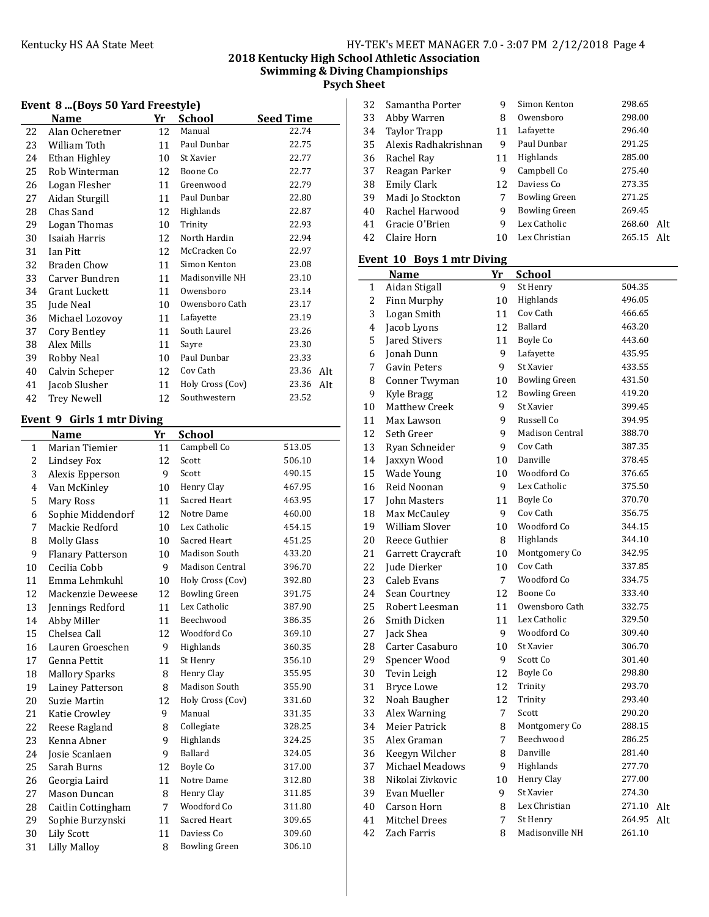# 2018 Kentucky High School Athletic Association

Swimming & Diving Championships

Psych Sheet

|  |  | Event 8  (Boys 50 Yard Freestyle) |
|--|--|-----------------------------------|
|  |  |                                   |

|    | Name               | Yr | <b>School</b>    | <b>Seed Time</b> |
|----|--------------------|----|------------------|------------------|
| 22 | Alan Ocheretner    | 12 | Manual           | 22.74            |
| 23 | William Toth       | 11 | Paul Dunbar      | 22.75            |
| 24 | Ethan Highley      | 10 | St Xavier        | 22.77            |
| 25 | Rob Winterman      | 12 | Boone Co         | 22.77            |
| 26 | Logan Flesher      | 11 | Greenwood        | 22.79            |
| 27 | Aidan Sturgill     | 11 | Paul Dunbar      | 22.80            |
| 28 | Chas Sand          | 12 | Highlands        | 22.87            |
| 29 | Logan Thomas       | 10 | Trinity          | 22.93            |
| 30 | Isaiah Harris      | 12 | North Hardin     | 22.94            |
| 31 | Ian Pitt           | 12 | McCracken Co     | 22.97            |
| 32 | <b>Braden Chow</b> | 11 | Simon Kenton     | 23.08            |
| 33 | Carver Bundren     | 11 | Madisonville NH  | 23.10            |
| 34 | Grant Luckett      | 11 | Owensboro        | 23.14            |
| 35 | Jude Neal          | 10 | Owensboro Cath   | 23.17            |
| 36 | Michael Lozovoy    | 11 | Lafayette        | 23.19            |
| 37 | Cory Bentley       | 11 | South Laurel     | 23.26            |
| 38 | Alex Mills         | 11 | Sayre            | 23.30            |
| 39 | Robby Neal         | 10 | Paul Dunbar      | 23.33            |
| 40 | Calvin Scheper     | 12 | Cov Cath         | 23.36<br>Alt     |
| 41 | Jacob Slusher      | 11 | Holy Cross (Cov) | 23.36<br>Alt     |
| 42 | <b>Trey Newell</b> | 12 | Southwestern     | 23.52            |

# Event 9 Girls 1 mtr Diving

 $\overline{a}$ 

|                | <b>Name</b>              | Yr | <b>School</b>          |        |
|----------------|--------------------------|----|------------------------|--------|
| 1              | Marian Tiemier           | 11 | Campbell Co            | 513.05 |
| $\overline{c}$ | Lindsey Fox              | 12 | Scott                  | 506.10 |
| 3              | Alexis Epperson          | 9  | Scott                  | 490.15 |
| $\overline{4}$ | Van McKinley             | 10 | Henry Clay             | 467.95 |
| 5              | Mary Ross                | 11 | Sacred Heart           | 463.95 |
| 6              | Sophie Middendorf        | 12 | Notre Dame             | 460.00 |
| 7              | Mackie Redford           | 10 | Lex Catholic           | 454.15 |
| 8              | <b>Molly Glass</b>       | 10 | Sacred Heart           | 451.25 |
| 9              | <b>Flanary Patterson</b> | 10 | Madison South          | 433.20 |
| 10             | Cecilia Cobb             | 9  | <b>Madison Central</b> | 396.70 |
| 11             | Emma Lehmkuhl            | 10 | Holy Cross (Cov)       | 392.80 |
| 12             | Mackenzie Deweese        | 12 | <b>Bowling Green</b>   | 391.75 |
| 13             | Jennings Redford         | 11 | Lex Catholic           | 387.90 |
| 14             | Abby Miller              | 11 | Beechwood              | 386.35 |
| 15             | Chelsea Call             | 12 | Woodford Co            | 369.10 |
| 16             | Lauren Groeschen         | 9  | Highlands              | 360.35 |
| 17             | Genna Pettit             | 11 | St Henry               | 356.10 |
| 18             | <b>Mallory Sparks</b>    | 8  | Henry Clay             | 355.95 |
| 19             | Lainey Patterson         | 8  | <b>Madison South</b>   | 355.90 |
| 20             | Suzie Martin             | 12 | Holy Cross (Cov)       | 331.60 |
| 21             | Katie Crowley            | 9  | Manual                 | 331.35 |
| 22             | Reese Ragland            | 8  | Collegiate             | 328.25 |
| 23             | Kenna Abner              | 9  | Highlands              | 324.25 |
| 24             | Josie Scanlaen           | 9  | Ballard                | 324.05 |
| 25             | Sarah Burns              | 12 | Boyle Co               | 317.00 |
| 26             | Georgia Laird            | 11 | Notre Dame             | 312.80 |
| 27             | Mason Duncan             | 8  | Henry Clay             | 311.85 |
| 28             | Caitlin Cottingham       | 7  | Woodford Co            | 311.80 |
| 29             | Sophie Burzynski         | 11 | Sacred Heart           | 309.65 |
| 30             | <b>Lily Scott</b>        | 11 | Daviess Co             | 309.60 |
| 31             | Lilly Malloy             | 8  | <b>Bowling Green</b>   | 306.10 |
|                |                          |    |                        |        |

| 32 | Samantha Porter      | 9  | Simon Kenton         | 298.65        |
|----|----------------------|----|----------------------|---------------|
| 33 | Abby Warren          | 8  | Owensboro            | 298.00        |
| 34 | <b>Taylor Trapp</b>  | 11 | Lafayette            | 296.40        |
| 35 | Alexis Radhakrishnan | 9  | Paul Dunbar          | 291.25        |
| 36 | Rachel Ray           | 11 | Highlands            | 285.00        |
| 37 | Reagan Parker        | 9  | Campbell Co          | 275.40        |
| 38 | Emily Clark          | 12 | Daviess Co           | 273.35        |
| 39 | Madi Jo Stockton     | 7  | <b>Bowling Green</b> | 271.25        |
| 40 | Rachel Harwood       | 9  | <b>Bowling Green</b> | 269.45        |
| 41 | Gracie O'Brien       | 9  | Lex Catholic         | 268.60<br>Alt |
| 42 | Claire Horn          | 10 | Lex Christian        | 265.15<br>Alt |

# Event 10 Boys 1 mtr Diving

|                | <b>Name</b>            | Yr | <b>School</b>          |               |
|----------------|------------------------|----|------------------------|---------------|
| $\mathbf{1}$   | Aidan Stigall          | 9  | St Henry               | 504.35        |
| $\overline{c}$ | Finn Murphy            | 10 | Highlands              | 496.05        |
| 3              | Logan Smith            | 11 | Cov Cath               | 466.65        |
| 4              | Jacob Lyons            | 12 | Ballard                | 463.20        |
| 5              | Jared Stivers          | 11 | Boyle Co               | 443.60        |
| 6              | Jonah Dunn             | 9  | Lafayette              | 435.95        |
| 7              | <b>Gavin Peters</b>    | 9  | St Xavier              | 433.55        |
| 8              | Conner Twyman          | 10 | <b>Bowling Green</b>   | 431.50        |
| 9              | Kyle Bragg             | 12 | <b>Bowling Green</b>   | 419.20        |
| 10             | <b>Matthew Creek</b>   | 9  | St Xavier              | 399.45        |
| 11             | Max Lawson             | 9  | Russell Co             | 394.95        |
| 12             | Seth Greer             | 9  | <b>Madison Central</b> | 388.70        |
| 13             | Ryan Schneider         | 9  | Cov Cath               | 387.35        |
| 14             | Jaxxyn Wood            | 10 | Danville               | 378.45        |
| 15             | Wade Young             | 10 | Woodford Co            | 376.65        |
| 16             | Reid Noonan            | 9  | Lex Catholic           | 375.50        |
| 17             | John Masters           | 11 | Boyle Co               | 370.70        |
| 18             | Max McCauley           | 9  | Cov Cath               | 356.75        |
| 19             | <b>William Slover</b>  | 10 | Woodford Co            | 344.15        |
| 20             | Reece Guthier          | 8  | Highlands              | 344.10        |
| 21             | Garrett Craycraft      | 10 | Montgomery Co          | 342.95        |
| 22             | Jude Dierker           | 10 | Cov Cath               | 337.85        |
| 23             | Caleb Evans            | 7  | Woodford Co            | 334.75        |
| 24             | Sean Courtney          | 12 | Boone Co               | 333.40        |
| 25             | Robert Leesman         | 11 | Owensboro Cath         | 332.75        |
| 26             | Smith Dicken           | 11 | Lex Catholic           | 329.50        |
| 27             | Jack Shea              | 9  | Woodford Co            | 309.40        |
| 28             | Carter Casaburo        | 10 | St Xavier              | 306.70        |
| 29             | Spencer Wood           | 9  | Scott Co               | 301.40        |
| 30             | Tevin Leigh            | 12 | Boyle Co               | 298.80        |
| 31             | <b>Bryce Lowe</b>      | 12 | Trinity                | 293.70        |
| 32             | Noah Baugher           | 12 | Trinity                | 293.40        |
| 33             | Alex Warning           | 7  | Scott                  | 290.20        |
| 34             | <b>Meier Patrick</b>   | 8  | Montgomery Co          | 288.15        |
| 35             | Alex Graman            | 7  | Beechwood              | 286.25        |
| 36             | Keegyn Wilcher         | 8  | Danville               | 281.40        |
| 37             | <b>Michael Meadows</b> | 9  | Highlands              | 277.70        |
| 38             | Nikolai Zivkovic       | 10 | Henry Clay             | 277.00        |
| 39             | Evan Mueller           | 9  | St Xavier              | 274.30        |
| 40             | Carson Horn            | 8  | Lex Christian          | 271.10<br>Alt |
| 41             | <b>Mitchel Drees</b>   | 7  | St Henry               | 264.95<br>Alt |
| 42             | Zach Farris            | 8  | Madisonville NH        | 261.10        |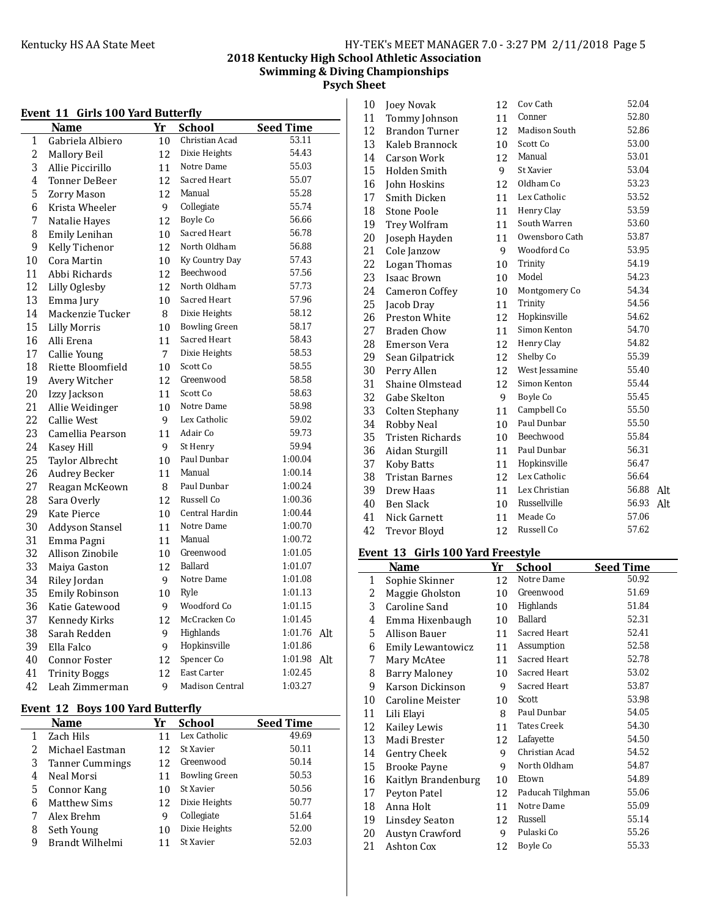# **2018 Kentucky High School Athletic Association Swimming & Diving Championships Psych Sheet**

|    | Event 11 Girls 100 Yard Butterfly |    |                        |                  |     |
|----|-----------------------------------|----|------------------------|------------------|-----|
|    | Name                              | Yr | <b>School</b>          | <b>Seed Time</b> |     |
| 1  | Gabriela Albiero                  | 10 | Christian Acad         | 53.11            |     |
| 2  | Mallory Beil                      | 12 | Dixie Heights          | 54.43            |     |
| 3  | Allie Piccirillo                  | 11 | Notre Dame             | 55.03            |     |
| 4  | <b>Tonner DeBeer</b>              | 12 | Sacred Heart           | 55.07            |     |
| 5  | <b>Zorry Mason</b>                | 12 | Manual                 | 55.28            |     |
| 6  | Krista Wheeler                    | 9  | Collegiate             | 55.74            |     |
| 7  | Natalie Haves                     | 12 | Boyle Co               | 56.66            |     |
| 8  | Emily Lenihan                     | 10 | Sacred Heart           | 56.78            |     |
| 9  | Kelly Tichenor                    | 12 | North Oldham           | 56.88            |     |
| 10 | Cora Martin                       | 10 | Ky Country Day         | 57.43            |     |
| 11 | Abbi Richards                     | 12 | Beechwood              | 57.56            |     |
| 12 | Lilly Oglesby                     | 12 | North Oldham           | 57.73            |     |
| 13 | Emma Jury                         | 10 | Sacred Heart           | 57.96            |     |
| 14 | Mackenzie Tucker                  | 8  | Dixie Heights          | 58.12            |     |
| 15 | <b>Lilly Morris</b>               | 10 | <b>Bowling Green</b>   | 58.17            |     |
| 16 | Alli Erena                        | 11 | Sacred Heart           | 58.43            |     |
| 17 | Callie Young                      | 7  | Dixie Heights          | 58.53            |     |
| 18 | Riette Bloomfield                 | 10 | Scott Co               | 58.55            |     |
| 19 | Avery Witcher                     | 12 | Greenwood              | 58.58            |     |
| 20 | Izzy Jackson                      | 11 | Scott Co               | 58.63            |     |
| 21 | Allie Weidinger                   | 10 | Notre Dame             | 58.98            |     |
| 22 | <b>Callie West</b>                | 9  | Lex Catholic           | 59.02            |     |
| 23 | Camellia Pearson                  | 11 | Adair Co               | 59.73            |     |
| 24 | Kasey Hill                        | 9  | St Henry               | 59.94            |     |
| 25 | <b>Taylor Albrecht</b>            | 10 | Paul Dunbar            | 1:00.04          |     |
| 26 | <b>Audrey Becker</b>              | 11 | Manual                 | 1:00.14          |     |
| 27 | Reagan McKeown                    | 8  | Paul Dunbar            | 1:00.24          |     |
| 28 | Sara Overly                       | 12 | Russell Co             | 1:00.36          |     |
| 29 | Kate Pierce                       | 10 | Central Hardin         | 1:00.44          |     |
| 30 | Addyson Stansel                   | 11 | Notre Dame             | 1:00.70          |     |
| 31 | Emma Pagni                        | 11 | Manual                 | 1:00.72          |     |
| 32 | Allison Zinobile                  | 10 | Greenwood              | 1:01.05          |     |
| 33 | Maiya Gaston                      | 12 | Ballard                | 1:01.07          |     |
| 34 | Riley Jordan                      | 9  | Notre Dame             | 1:01.08          |     |
| 35 | Emily Robinson                    | 10 | Ryle                   | 1:01.13          |     |
| 36 | Katie Gatewood                    | 9  | Woodford Co            | 1:01.15          |     |
| 37 | Kennedy Kirks                     | 12 | McCracken Co           | 1:01.45          |     |
| 38 | Sarah Redden                      | 9  | Highlands              | 1:01.76          | Alt |
| 39 | Ella Falco                        | 9  | Hopkinsville           | 1:01.86          |     |
| 40 | Connor Foster                     | 12 | Spencer Co             | 1:01.98          | Alt |
| 41 | <b>Trinity Boggs</b>              | 12 | <b>East Carter</b>     | 1:02.45          |     |
| 42 | Leah Zimmerman                    | 9  | <b>Madison Central</b> | 1:03.27          |     |

#### **Event 12 Boys 100 Yard Butterfly**

|               | <b>Name</b>            | Yr | School               | <b>Seed Time</b> |
|---------------|------------------------|----|----------------------|------------------|
|               | Zach Hils              |    | Lex Catholic         | 49.69            |
| $\mathcal{P}$ | Michael Eastman        | 12 | St Xavier            | 50.11            |
| 3             | <b>Tanner Cummings</b> | 12 | Greenwood            | 50.14            |
| 4             | Neal Morsi             | 11 | <b>Bowling Green</b> | 50.53            |
| 5             | Connor Kang            | 10 | St Xavier            | 50.56            |
| 6             | Matthew Sims           | 12 | Dixie Heights        | 50.77            |
|               | Alex Brehm             | 9  | Collegiate           | 51.64            |
| 8             | Seth Young             | 10 | Dixie Heights        | 52.00            |
| 9             | Brandt Wilhelmi        |    | St Xavier            | 52.03            |

| 10 | Joey Novak              | 12 | Cov Cath       | 52.04 |     |
|----|-------------------------|----|----------------|-------|-----|
| 11 | Tommy Johnson           | 11 | Conner         | 52.80 |     |
| 12 | <b>Brandon Turner</b>   | 12 | Madison South  | 52.86 |     |
| 13 | Kaleb Brannock          | 10 | Scott Co       | 53.00 |     |
| 14 | <b>Carson Work</b>      | 12 | Manual         | 53.01 |     |
| 15 | Holden Smith            | 9  | St Xavier      | 53.04 |     |
| 16 | John Hoskins            | 12 | Oldham Co      | 53.23 |     |
| 17 | Smith Dicken            | 11 | Lex Catholic   | 53.52 |     |
| 18 | <b>Stone Poole</b>      | 11 | Henry Clay     | 53.59 |     |
| 19 | Trey Wolfram            | 11 | South Warren   | 53.60 |     |
| 20 | Joseph Hayden           | 11 | Owensboro Cath | 53.87 |     |
| 21 | Cole Janzow             | 9  | Woodford Co    | 53.95 |     |
| 22 | Logan Thomas            | 10 | Trinity        | 54.19 |     |
| 23 | <b>Isaac Brown</b>      | 10 | Model          | 54.23 |     |
| 24 | Cameron Coffey          | 10 | Montgomery Co  | 54.34 |     |
| 25 | Jacob Dray              | 11 | Trinity        | 54.56 |     |
| 26 | Preston White           | 12 | Hopkinsville   | 54.62 |     |
| 27 | <b>Braden Chow</b>      | 11 | Simon Kenton   | 54.70 |     |
| 28 | Emerson Vera            | 12 | Henry Clay     | 54.82 |     |
| 29 | Sean Gilpatrick         | 12 | Shelby Co      | 55.39 |     |
| 30 | Perry Allen             | 12 | West Jessamine | 55.40 |     |
| 31 | Shaine Olmstead         | 12 | Simon Kenton   | 55.44 |     |
| 32 | Gabe Skelton            | 9  | Boyle Co       | 55.45 |     |
| 33 | Colten Stephany         | 11 | Campbell Co    | 55.50 |     |
| 34 | Robby Neal              | 10 | Paul Dunbar    | 55.50 |     |
| 35 | <b>Tristen Richards</b> | 10 | Beechwood      | 55.84 |     |
| 36 | Aidan Sturgill          | 11 | Paul Dunbar    | 56.31 |     |
| 37 | <b>Koby Batts</b>       | 11 | Hopkinsville   | 56.47 |     |
| 38 | <b>Tristan Barnes</b>   | 12 | Lex Catholic   | 56.64 |     |
| 39 | Drew Haas               | 11 | Lex Christian  | 56.88 | Alt |
| 40 | <b>Ben Slack</b>        | 10 | Russellville   | 56.93 | Alt |
| 41 | Nick Garnett            | 11 | Meade Co       | 57.06 |     |
| 42 | <b>Trevor Bloyd</b>     | 12 | Russell Co     | 57.62 |     |

### Event 13 Girls 100 Yard Freestyle

|    | Name                     | Yr | School             | <b>Seed Time</b> |
|----|--------------------------|----|--------------------|------------------|
| 1  | Sophie Skinner           | 12 | Notre Dame         | 50.92            |
| 2  | Maggie Gholston          | 10 | Greenwood          | 51.69            |
| 3  | Caroline Sand            | 10 | Highlands          | 51.84            |
| 4  | Emma Hixenbaugh          | 10 | Ballard            | 52.31            |
| 5  | Allison Bauer            | 11 | Sacred Heart       | 52.41            |
| 6  | <b>Emily Lewantowicz</b> | 11 | Assumption         | 52.58            |
| 7  | Mary McAtee              | 11 | Sacred Heart       | 52.78            |
| 8  | Barry Maloney            | 10 | Sacred Heart       | 53.02            |
| 9  | Karson Dickinson         | 9  | Sacred Heart       | 53.87            |
| 10 | Caroline Meister         | 10 | Scott              | 53.98            |
| 11 | Lili Elavi               | 8  | Paul Dunbar        | 54.05            |
| 12 | Kailey Lewis             | 11 | <b>Tates Creek</b> | 54.30            |
| 13 | Madi Brester             | 12 | Lafayette          | 54.50            |
| 14 | Gentry Cheek             | 9  | Christian Acad     | 54.52            |
| 15 | Brooke Payne             | 9  | North Oldham       | 54.87            |
| 16 | Kaitlyn Brandenburg      | 10 | Etown              | 54.89            |
| 17 | Peyton Patel             | 12 | Paducah Tilghman   | 55.06            |
| 18 | Anna Holt                | 11 | Notre Dame         | 55.09            |
| 19 | Linsdey Seaton           | 12 | Russell            | 55.14            |
| 20 | Austyn Crawford          | 9  | Pulaski Co         | 55.26            |
| 21 | Ashton Cox               | 12 | Boyle Co           | 55.33            |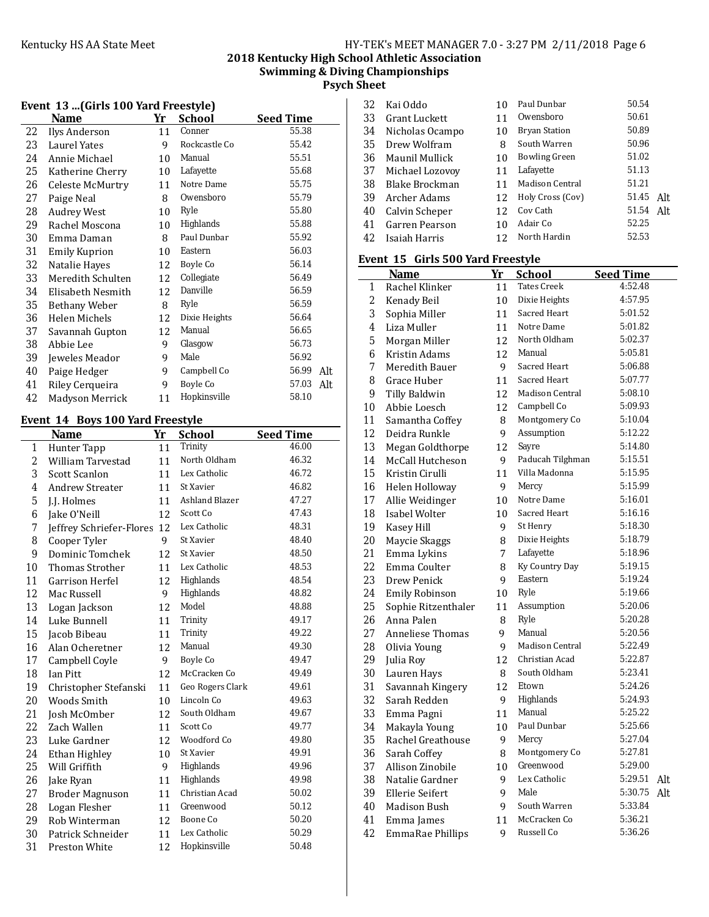**2018 Kentucky High School Athletic Association Swimming & Diving Championships**

**Psych Sheet**

| Event 13  (Girls 100 Yard Freestyle) |                      |    |               |                  |  |
|--------------------------------------|----------------------|----|---------------|------------------|--|
|                                      | Name                 | Yr | <b>School</b> | <b>Seed Time</b> |  |
| 22                                   | Ilys Anderson        | 11 | Conner        | 55.38            |  |
| 23                                   | Laurel Yates         | 9  | Rockcastle Co | 55.42            |  |
| 24                                   | Annie Michael        | 10 | Manual        | 55.51            |  |
| 25                                   | Katherine Cherry     | 10 | Lafayette     | 55.68            |  |
| 26                                   | Celeste McMurtry     | 11 | Notre Dame    | 55.75            |  |
| 27                                   | Paige Neal           | 8  | Owensboro     | 55.79            |  |
| 28                                   | <b>Audrey West</b>   | 10 | Ryle          | 55.80            |  |
| 29                                   | Rachel Moscona       | 10 | Highlands     | 55.88            |  |
| 30                                   | Emma Daman           | 8  | Paul Dunbar   | 55.92            |  |
| 31                                   | Emily Kuprion        | 10 | Eastern       | 56.03            |  |
| 32                                   | Natalie Haves        | 12 | Boyle Co      | 56.14            |  |
| 33                                   | Meredith Schulten    | 12 | Collegiate    | 56.49            |  |
| 34                                   | Elisabeth Nesmith    | 12 | Danville      | 56.59            |  |
| 35                                   | Bethany Weber        | 8  | Ryle          | 56.59            |  |
| 36                                   | <b>Helen Michels</b> | 12 | Dixie Heights | 56.64            |  |
| 37                                   | Savannah Gupton      | 12 | Manual        | 56.65            |  |
| 38                                   | Abbie Lee            | 9  | Glasgow       | 56.73            |  |
| 39                                   | Jeweles Meador       | 9  | Male          | 56.92            |  |
| 40                                   | Paige Hedger         | 9  | Campbell Co   | 56.99<br>Alt     |  |
| 41                                   | Riley Cerqueira      | 9  | Boyle Co      | 57.03<br>Alt     |  |
| 42                                   | Madyson Merrick      | 11 | Hopkinsville  | 58.10            |  |

# Event 14 Boys 100 Yard Freestyle

|    | 17 CIIL 1 I<br>boys too maarreestyn<br>Name | Yr | <b>School</b>    | <b>Seed Time</b> |
|----|---------------------------------------------|----|------------------|------------------|
| 1  | Hunter Tapp                                 | 11 | Trinity          | 46.00            |
| 2  | William Tarvestad                           | 11 | North Oldham     | 46.32            |
| 3  | Scott Scanlon                               | 11 | Lex Catholic     | 46.72            |
| 4  | <b>Andrew Streater</b>                      | 11 | St Xavier        | 46.82            |
| 5  | J.J. Holmes                                 | 11 | Ashland Blazer   | 47.27            |
| 6  | Jake O'Neill                                | 12 | Scott Co         | 47.43            |
| 7  | Jeffrey Schriefer-Flores                    | 12 | Lex Catholic     | 48.31            |
| 8  | Cooper Tyler                                | 9  | St Xavier        | 48.40            |
| 9  | Dominic Tomchek                             | 12 | St Xavier        | 48.50            |
| 10 | <b>Thomas Strother</b>                      | 11 | Lex Catholic     | 48.53            |
| 11 | Garrison Herfel                             | 12 | Highlands        | 48.54            |
| 12 | Mac Russell                                 | 9  | Highlands        | 48.82            |
| 13 | Logan Jackson                               | 12 | Model            | 48.88            |
| 14 | Luke Bunnell                                | 11 | Trinity          | 49.17            |
| 15 | Jacob Bibeau                                | 11 | Trinity          | 49.22            |
| 16 | Alan Ocheretner                             | 12 | Manual           | 49.30            |
| 17 | Campbell Coyle                              | 9  | Boyle Co         | 49.47            |
| 18 | Ian Pitt                                    | 12 | McCracken Co     | 49.49            |
| 19 | Christopher Stefanski                       | 11 | Geo Rogers Clark | 49.61            |
| 20 | Woods Smith                                 | 10 | Lincoln Co       | 49.63            |
| 21 | Josh McOmber                                | 12 | South Oldham     | 49.67            |
| 22 | Zach Wallen                                 | 11 | Scott Co         | 49.77            |
| 23 | Luke Gardner                                | 12 | Woodford Co      | 49.80            |
| 24 | Ethan Highley                               | 10 | St Xavier        | 49.91            |
| 25 | Will Griffith                               | 9  | Highlands        | 49.96            |
| 26 | Jake Ryan                                   | 11 | Highlands        | 49.98            |
| 27 | <b>Broder Magnuson</b>                      | 11 | Christian Acad   | 50.02            |
| 28 | Logan Flesher                               | 11 | Greenwood        | 50.12            |
| 29 | Rob Winterman                               | 12 | Boone Co         | 50.20            |
| 30 | Patrick Schneider                           | 11 | Lex Catholic     | 50.29            |
| 31 | Preston White                               | 12 | Hopkinsville     | 50.48            |

| 32 | Kai Oddo             | 10 | Paul Dunbar          | 50.54        |
|----|----------------------|----|----------------------|--------------|
| 33 | <b>Grant Luckett</b> | 11 | Owensboro            | 50.61        |
| 34 | Nicholas Ocampo      | 10 | <b>Bryan Station</b> | 50.89        |
| 35 | Drew Wolfram         | 8  | South Warren         | 50.96        |
| 36 | Maunil Mullick       | 10 | <b>Bowling Green</b> | 51.02        |
| 37 | Michael Lozovoy      | 11 | Lafayette            | 51.13        |
| 38 | Blake Brockman       | 11 | Madison Central      | 51.21        |
| 39 | Archer Adams         | 12 | Holy Cross (Cov)     | 51.45<br>Alt |
| 40 | Calvin Scheper       | 12 | Cov Cath             | 51.54<br>Alt |
| 41 | Garren Pearson       | 10 | Adair Co             | 52.25        |
| 42 | Isaiah Harris        | 12 | North Hardin         | 52.53        |

#### Event 15 Girls 500 Yard Freestyle

|                | <b>Name</b>             | <u>Yr</u> | <b>School</b>          | <b>Seed Time</b> |
|----------------|-------------------------|-----------|------------------------|------------------|
| 1              | Rachel Klinker          | 11        | <b>Tates Creek</b>     | 4:52.48          |
| $\overline{2}$ | Kenady Beil             | 10        | Dixie Heights          | 4:57.95          |
| 3              | Sophia Miller           | 11        | Sacred Heart           | 5:01.52          |
| 4              | Liza Muller             | 11        | Notre Dame             | 5:01.82          |
| 5              | Morgan Miller           | 12        | North Oldham           | 5:02.37          |
| 6              | Kristin Adams           | 12        | Manual                 | 5:05.81          |
| $\overline{7}$ | Meredith Bauer          | 9         | Sacred Heart           | 5:06.88          |
| 8              | Grace Huber             | 11        | Sacred Heart           | 5:07.77          |
| 9              | Tilly Baldwin           | 12        | <b>Madison Central</b> | 5:08.10          |
| 10             | Abbie Loesch            | 12        | Campbell Co            | 5:09.93          |
| 11             | Samantha Coffey         | 8         | Montgomery Co          | 5:10.04          |
| 12             | Deidra Runkle           | 9         | Assumption             | 5:12.22          |
| 13             | Megan Goldthorpe        | 12        | Sayre                  | 5:14.80          |
| 14             | McCall Hutcheson        | 9         | Paducah Tilghman       | 5:15.51          |
| 15             | Kristin Cirulli         | 11        | Villa Madonna          | 5:15.95          |
| 16             | Helen Holloway          | 9         | Mercy                  | 5:15.99          |
| 17             | Allie Weidinger         | 10        | Notre Dame             | 5:16.01          |
| 18             | Isabel Wolter           | 10        | Sacred Heart           | 5:16.16          |
| 19             | Kasey Hill              | 9         | St Henry               | 5:18.30          |
| 20             | Maycie Skaggs           | 8         | Dixie Heights          | 5:18.79          |
| 21             | Emma Lykins             | 7         | Lafayette              | 5:18.96          |
| 22             | Emma Coulter            | 8         | Ky Country Day         | 5:19.15          |
| 23             | Drew Penick             | 9         | Eastern                | 5:19.24          |
| 24             | <b>Emily Robinson</b>   | 10        | Ryle                   | 5:19.66          |
| 25             | Sophie Ritzenthaler     | 11        | Assumption             | 5:20.06          |
| 26             | Anna Palen              | 8         | Ryle                   | 5:20.28          |
| 27             | <b>Anneliese Thomas</b> | 9         | Manual                 | 5:20.56          |
| 28             | Olivia Young            | 9         | <b>Madison Central</b> | 5:22.49          |
| 29             | Julia Roy               | 12        | Christian Acad         | 5:22.87          |
| 30             | Lauren Hays             | 8         | South Oldham           | 5:23.41          |
| 31             | Savannah Kingery        | 12        | Etown                  | 5:24.26          |
| 32             | Sarah Redden            | 9         | Highlands              | 5:24.93          |
| 33             | Emma Pagni              | 11        | Manual                 | 5:25.22          |
| 34             | Makayla Young           | $10\,$    | Paul Dunbar            | 5:25.66          |
| 35             | Rachel Greathouse       | 9         | Mercy                  | 5:27.04          |
| 36             | Sarah Coffey            | 8         | Montgomery Co          | 5:27.81          |
| 37             | Allison Zinobile        | 10        | Greenwood              | 5:29.00          |
| 38             | Natalie Gardner         | 9         | Lex Catholic           | 5:29.51<br>Alt   |
| 39             | <b>Ellerie Seifert</b>  | 9         | Male                   | 5:30.75<br>Alt   |
| 40             | Madison Bush            | 9         | South Warren           | 5:33.84          |
| 41             | Emma James              | 11        | McCracken Co           | 5:36.21          |
| 42             | EmmaRae Phillips        | 9         | Russell Co             | 5:36.26          |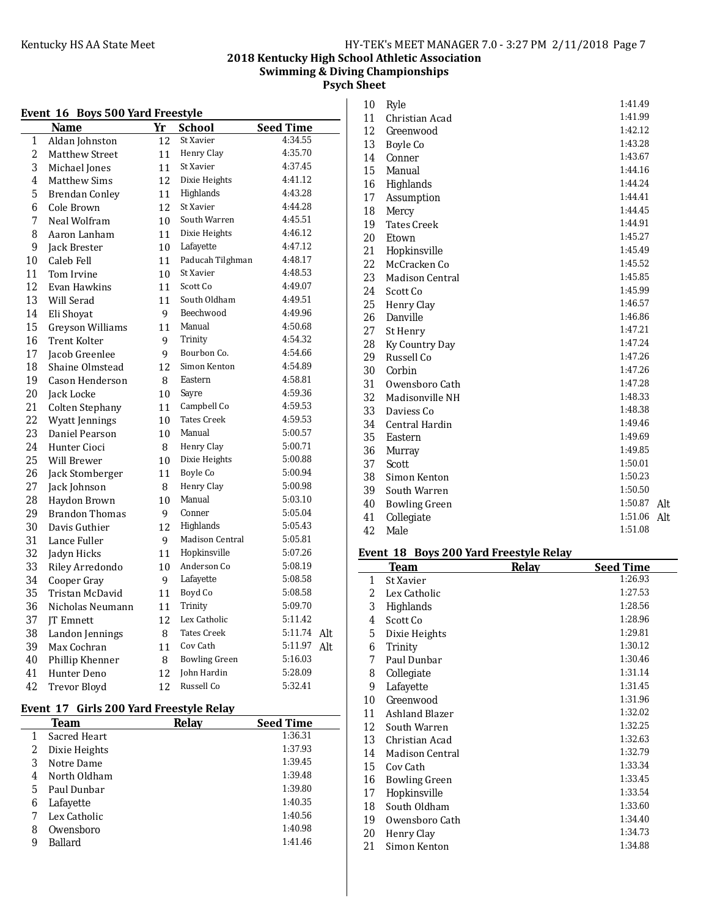# **2018 Kentucky High School Athletic Association Swimming & Diving Championships Psych Sheet**

|    | Event 16 Boys 500 Yard Freestyle |    |                      |                  |     |
|----|----------------------------------|----|----------------------|------------------|-----|
|    | <b>Name</b>                      | Yr | <b>School</b>        | <b>Seed Time</b> |     |
| 1  | Aldan Johnston                   | 12 | St Xavier            | 4:34.55          |     |
| 2  | Matthew Street                   | 11 | Henry Clay           | 4:35.70          |     |
| 3  | Michael Jones                    | 11 | St Xavier            | 4:37.45          |     |
| 4  | <b>Matthew Sims</b>              | 12 | Dixie Heights        | 4:41.12          |     |
| 5  | <b>Brendan Conley</b>            | 11 | Highlands            | 4:43.28          |     |
| 6  | Cole Brown                       | 12 | St Xavier            | 4:44.28          |     |
| 7  | Neal Wolfram                     | 10 | South Warren         | 4:45.51          |     |
| 8  | Aaron Lanham                     | 11 | Dixie Heights        | 4:46.12          |     |
| 9  | Jack Brester                     | 10 | Lafayette            | 4:47.12          |     |
| 10 | Caleb Fell                       | 11 | Paducah Tilghman     | 4:48.17          |     |
| 11 | Tom Irvine                       | 10 | St Xavier            | 4:48.53          |     |
| 12 | Evan Hawkins                     | 11 | Scott Co             | 4:49.07          |     |
| 13 | Will Serad                       | 11 | South Oldham         | 4:49.51          |     |
| 14 | Eli Shoyat                       | 9  | Beechwood            | 4:49.96          |     |
| 15 | Greyson Williams                 | 11 | Manual               | 4:50.68          |     |
| 16 | <b>Trent Kolter</b>              | 9  | Trinity              | 4:54.32          |     |
| 17 | Jacob Greenlee                   | 9  | Bourbon Co.          | 4:54.66          |     |
| 18 | Shaine Olmstead                  | 12 | Simon Kenton         | 4:54.89          |     |
| 19 | Cason Henderson                  | 8  | Eastern              | 4:58.81          |     |
| 20 | Jack Locke                       | 10 | Sayre                | 4:59.36          |     |
| 21 | <b>Colten Stephany</b>           | 11 | Campbell Co          | 4:59.53          |     |
| 22 | Wyatt Jennings                   | 10 | <b>Tates Creek</b>   | 4:59.53          |     |
| 23 | Daniel Pearson                   | 10 | Manual               | 5:00.57          |     |
| 24 | Hunter Cioci                     | 8  | Henry Clay           | 5:00.71          |     |
| 25 | Will Brewer                      | 10 | Dixie Heights        | 5:00.88          |     |
| 26 | Jack Stomberger                  | 11 | Boyle Co             | 5:00.94          |     |
| 27 | Jack Johnson                     | 8  | Henry Clay           | 5:00.98          |     |
| 28 | Haydon Brown                     | 10 | Manual               | 5:03.10          |     |
| 29 | <b>Brandon Thomas</b>            | 9  | Conner               | 5:05.04          |     |
| 30 | Davis Guthier                    | 12 | Highlands            | 5:05.43          |     |
| 31 | Lance Fuller                     | 9  | Madison Central      | 5:05.81          |     |
| 32 | Jadyn Hicks                      | 11 | Hopkinsville         | 5:07.26          |     |
| 33 | Riley Arredondo                  | 10 | Anderson Co          | 5:08.19          |     |
| 34 | Cooper Gray                      | 9  | Lafayette            | 5:08.58          |     |
| 35 | Tristan McDavid                  | 11 | Boyd Co              | 5:08.58          |     |
| 36 | Nicholas Neumann                 | 11 | Trinity              | 5:09.70          |     |
| 37 | <b>IT Emnett</b>                 | 12 | Lex Catholic         | 5:11.42          |     |
| 38 | Landon Jennings                  | 8  | <b>Tates Creek</b>   | 5:11.74          | Alt |
| 39 | Max Cochran                      | 11 | Cov Cath             | 5:11.97          | Alt |
| 40 | Phillip Khenner                  | 8  | <b>Bowling Green</b> | 5:16.03          |     |
| 41 | Hunter Deno                      | 12 | John Hardin          | 5:28.09          |     |
| 42 | <b>Trevor Blovd</b>              | 12 | Russell Co           | 5:32.41          |     |

# Event 17 Girls 200 Yard Freestyle Relay

|   | Team          | Relay | <b>Seed Time</b> |
|---|---------------|-------|------------------|
|   | Sacred Heart  |       | 1:36.31          |
| 2 | Dixie Heights |       | 1:37.93          |
| 3 | Notre Dame    |       | 1:39.45          |
| 4 | North Oldham  |       | 1:39.48          |
| 5 | Paul Dunbar   |       | 1:39.80          |
| 6 | Lafayette     |       | 1:40.35          |
|   | Lex Catholic  |       | 1:40.56          |
| 8 | Owensboro     |       | 1:40.98          |
| 9 | Ballard       |       | 1:41.46          |

| 10 | Ryle                   | 1:41.49 |     |
|----|------------------------|---------|-----|
| 11 | Christian Acad         | 1:41.99 |     |
| 12 | Greenwood              | 1:42.12 |     |
| 13 | Boyle Co               | 1:43.28 |     |
| 14 | Conner                 | 1:43.67 |     |
| 15 | Manual                 | 1:44.16 |     |
| 16 | Highlands              | 1:44.24 |     |
| 17 | Assumption             | 1:44.41 |     |
| 18 | Mercy                  | 1:44.45 |     |
| 19 | <b>Tates Creek</b>     | 1:44.91 |     |
| 20 | Etown                  | 1:45.27 |     |
| 21 | Hopkinsville           | 1:45.49 |     |
| 22 | McCracken Co           | 1:45.52 |     |
| 23 | <b>Madison Central</b> | 1:45.85 |     |
| 24 | Scott Co               | 1:45.99 |     |
| 25 | Henry Clay             | 1:46.57 |     |
| 26 | Danville               | 1:46.86 |     |
| 27 | St Henry               | 1:47.21 |     |
| 28 | Ky Country Day         | 1:47.24 |     |
| 29 | Russell Co             | 1:47.26 |     |
| 30 | Corbin                 | 1:47.26 |     |
| 31 | Owensboro Cath         | 1:47.28 |     |
| 32 | Madisonville NH        | 1:48.33 |     |
| 33 | Daviess Co             | 1:48.38 |     |
| 34 | Central Hardin         | 1:49.46 |     |
| 35 | Eastern                | 1:49.69 |     |
| 36 | Murray                 | 1:49.85 |     |
| 37 | Scott                  | 1:50.01 |     |
| 38 | Simon Kenton           | 1:50.23 |     |
| 39 | South Warren           | 1:50.50 |     |
| 40 | <b>Bowling Green</b>   | 1:50.87 | Alt |
| 41 | Collegiate             | 1:51.06 | Alt |
| 42 | Male                   | 1:51.08 |     |

# Event 18 Boys 200 Yard Freestyle Relay

|                   | Team                 | Relay | <b>Seed Time</b> |
|-------------------|----------------------|-------|------------------|
| 1                 | St Xavier            |       | 1:26.93          |
| 2                 | Lex Catholic         |       | 1:27.53          |
| 3                 | Highlands            |       | 1:28.56          |
| 4                 | Scott Co             |       | 1:28.96          |
| 5                 | Dixie Heights        |       | 1:29.81          |
| 6                 | Trinity              |       | 1:30.12          |
| 7                 | Paul Dunbar          |       | 1:30.46          |
| 8                 | Collegiate           |       | 1:31.14          |
| 9                 | Lafayette            |       | 1:31.45          |
| 10                | Greenwood            |       | 1:31.96          |
| 11                | Ashland Blazer       |       | 1:32.02          |
| $12 \overline{ }$ | South Warren         |       | 1:32.25          |
| 13                | Christian Acad       |       | 1:32.63          |
| 14                | Madison Central      |       | 1:32.79          |
| 15                | Cov Cath             |       | 1:33.34          |
| 16                | <b>Bowling Green</b> |       | 1:33.45          |
| 17                | Hopkinsville         |       | 1:33.54          |
| 18                | South Oldham         |       | 1:33.60          |
| 19                | Owensboro Cath       |       | 1:34.40          |
| 20                | Henry Clay           |       | 1:34.73          |
| 21                | Simon Kenton         |       | 1:34.88          |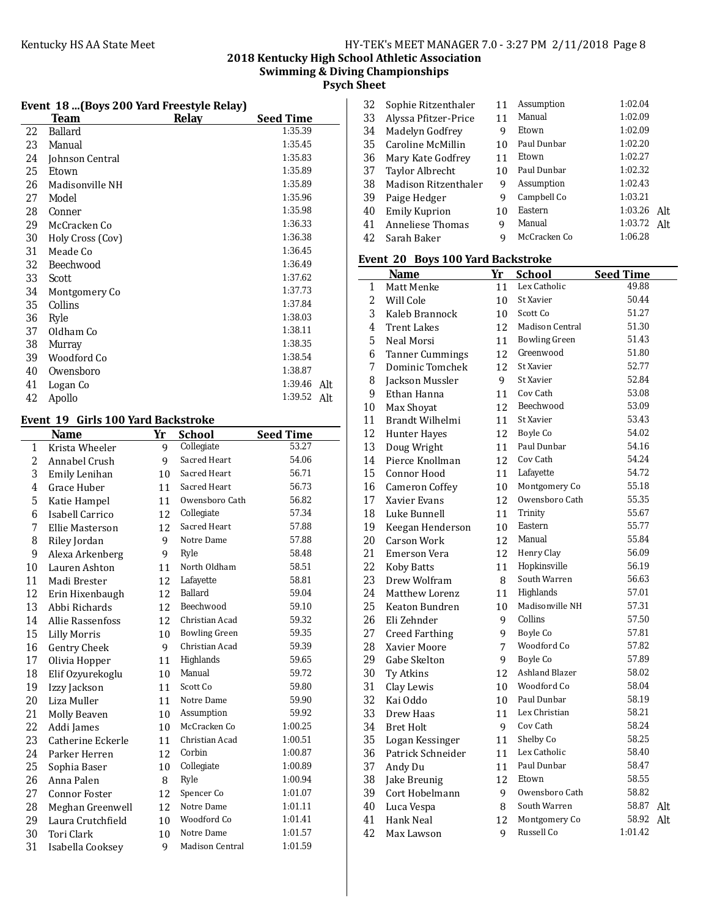# **2018 Kentucky High School Athletic Association Swimming & Diving Championships**

**Psych Sheet**

# Event 18 ...(Boys 200 Yard Freestyle Relay)

|    | Team             | Relav | <b>Seed Time</b> |
|----|------------------|-------|------------------|
| 22 | Ballard          |       | 1:35.39          |
| 23 | Manual           |       | 1:35.45          |
| 24 | Johnson Central  |       | 1:35.83          |
| 25 | Etown            |       | 1:35.89          |
| 26 | Madisonville NH  |       | 1:35.89          |
| 27 | Model            |       | 1:35.96          |
| 28 | Conner           |       | 1:35.98          |
| 29 | McCracken Co     |       | 1:36.33          |
| 30 | Holy Cross (Cov) |       | 1:36.38          |
| 31 | Meade Co         |       | 1:36.45          |
| 32 | Beechwood        |       | 1:36.49          |
| 33 | Scott            |       | 1:37.62          |
| 34 | Montgomery Co    |       | 1:37.73          |
| 35 | Collins          |       | 1:37.84          |
| 36 | Ryle             |       | 1:38.03          |
| 37 | Oldham Co        |       | 1:38.11          |
| 38 | Murray           |       | 1:38.35          |
| 39 | Woodford Co      |       | 1:38.54          |
| 40 | Owensboro        |       | 1:38.87          |
| 41 | Logan Co         |       | 1:39.46<br>Alt   |
| 42 | Apollo           |       | 1:39.52<br>Alt   |

# Event 19 Girls 100 Yard Backstroke

|                   | an is 100 Turu Buchströße |    |                      |                  |  |
|-------------------|---------------------------|----|----------------------|------------------|--|
|                   | Name                      | Yr | <b>School</b>        | <b>Seed Time</b> |  |
| 1                 | Krista Wheeler            | 9  | Collegiate           | 53.27            |  |
| 2                 | Annabel Crush             | 9  | Sacred Heart         | 54.06            |  |
| 3                 | Emily Lenihan             | 10 | Sacred Heart         | 56.71            |  |
| 4                 | Grace Huber               | 11 | Sacred Heart         | 56.73            |  |
| 5                 | Katie Hampel              | 11 | Owensboro Cath       | 56.82            |  |
| 6                 | Isabell Carrico           | 12 | Collegiate           | 57.34            |  |
| 7                 | Ellie Masterson           | 12 | Sacred Heart         | 57.88            |  |
| 8                 | Riley Jordan              | 9  | Notre Dame           | 57.88            |  |
| 9                 | Alexa Arkenberg           | 9  | Ryle                 | 58.48            |  |
| 10                | Lauren Ashton             | 11 | North Oldham         | 58.51            |  |
| 11                | Madi Brester              | 12 | Lafayette            | 58.81            |  |
| $12 \overline{ }$ | Erin Hixenbaugh           | 12 | Ballard              | 59.04            |  |
| 13                | Abbi Richards             | 12 | Beechwood            | 59.10            |  |
| 14                | Allie Rassenfoss          | 12 | Christian Acad       | 59.32            |  |
| 15                | <b>Lilly Morris</b>       | 10 | <b>Bowling Green</b> | 59.35            |  |
| 16                | Gentry Cheek              | 9  | Christian Acad       | 59.39            |  |
| 17                | Olivia Hopper             | 11 | Highlands            | 59.65            |  |
| 18                | Elif Ozyurekoglu          | 10 | Manual               | 59.72            |  |
| 19                | Izzy Jackson              | 11 | Scott Co             | 59.80            |  |
| 20                | Liza Muller               | 11 | Notre Dame           | 59.90            |  |
| 21                | Molly Beaven              | 10 | Assumption           | 59.92            |  |
| 22                | Addi James                | 10 | McCracken Co         | 1:00.25          |  |
| 23                | Catherine Eckerle         | 11 | Christian Acad       | 1:00.51          |  |
| 24                | Parker Herren             | 12 | Corbin               | 1:00.87          |  |
| 25                | Sophia Baser              | 10 | Collegiate           | 1:00.89          |  |
| 26                | Anna Palen                | 8  | Ryle                 | 1:00.94          |  |
| 27                | <b>Connor Foster</b>      | 12 | Spencer Co           | 1:01.07          |  |
| 28                | Meghan Greenwell          | 12 | Notre Dame           | 1:01.11          |  |
| 29                | Laura Crutchfield         | 10 | Woodford Co          | 1:01.41          |  |
| 30                | <b>Tori Clark</b>         | 10 | Notre Dame           | 1:01.57          |  |
| 31                | Isabella Cooksey          | 9  | Madison Central      | 1:01.59          |  |

| 32 | Sophie Ritzenthaler  | 11 | Assumption   | 1:02.04 |     |
|----|----------------------|----|--------------|---------|-----|
| 33 | Alyssa Pfitzer-Price | 11 | Manual       | 1:02.09 |     |
| 34 | Madelyn Godfrey      | 9  | Etown        | 1:02.09 |     |
| 35 | Caroline McMillin    | 10 | Paul Dunbar  | 1:02.20 |     |
| 36 | Mary Kate Godfrey    | 11 | Etown        | 1:02.27 |     |
| 37 | Taylor Albrecht      | 10 | Paul Dunbar  | 1:02.32 |     |
| 38 | Madison Ritzenthaler | 9  | Assumption   | 1:02.43 |     |
| 39 | Paige Hedger         | 9  | Campbell Co  | 1:03.21 |     |
| 40 | <b>Emily Kuprion</b> | 10 | Eastern      | 1:03.26 | Alt |
| 41 | Anneliese Thomas     | 9  | Manual       | 1:03.72 | Alt |
| 42 | Sarah Baker          | 9  | McCracken Co | 1:06.28 |     |

#### **Event 20 Boys 100 Yard Backstroke**

|    | Name                   | Yr | <b>School</b>        | <b>Seed Time</b> |     |
|----|------------------------|----|----------------------|------------------|-----|
| 1  | Matt Menke             | 11 | Lex Catholic         | 49.88            |     |
| 2  | Will Cole              | 10 | St Xavier            | 50.44            |     |
| 3  | Kaleb Brannock         | 10 | Scott Co             | 51.27            |     |
| 4  | <b>Trent Lakes</b>     | 12 | Madison Central      | 51.30            |     |
| 5  | Neal Morsi             | 11 | <b>Bowling Green</b> | 51.43            |     |
| 6  | <b>Tanner Cummings</b> | 12 | Greenwood            | 51.80            |     |
| 7  | Dominic Tomchek        | 12 | St Xavier            | 52.77            |     |
| 8  | <b>Jackson Mussler</b> | 9  | St Xavier            | 52.84            |     |
| 9  | Ethan Hanna            | 11 | Cov Cath             | 53.08            |     |
| 10 | Max Shoyat             | 12 | Beechwood            | 53.09            |     |
| 11 | Brandt Wilhelmi        | 11 | St Xavier            | 53.43            |     |
| 12 | <b>Hunter Hayes</b>    | 12 | Boyle Co             | 54.02            |     |
| 13 | Doug Wright            | 11 | Paul Dunbar          | 54.16            |     |
| 14 | Pierce Knollman        | 12 | Cov Cath             | 54.24            |     |
| 15 | Connor Hood            | 11 | Lafayette            | 54.72            |     |
| 16 | <b>Cameron Coffey</b>  | 10 | Montgomery Co        | 55.18            |     |
| 17 | Xavier Evans           | 12 | Owensboro Cath       | 55.35            |     |
| 18 | Luke Bunnell           | 11 | Trinity              | 55.67            |     |
| 19 | Keegan Henderson       | 10 | Eastern              | 55.77            |     |
| 20 | Carson Work            | 12 | Manual               | 55.84            |     |
| 21 | Emerson Vera           | 12 | Henry Clay           | 56.09            |     |
| 22 | Koby Batts             | 11 | Hopkinsville         | 56.19            |     |
| 23 | Drew Wolfram           | 8  | South Warren         | 56.63            |     |
| 24 | Matthew Lorenz         | 11 | Highlands            | 57.01            |     |
| 25 | Keaton Bundren         | 10 | Madisonville NH      | 57.31            |     |
| 26 | Eli Zehnder            | 9  | Collins              | 57.50            |     |
| 27 | <b>Creed Farthing</b>  | 9  | Boyle Co             | 57.81            |     |
| 28 | Xavier Moore           | 7  | Woodford Co          | 57.82            |     |
| 29 | Gabe Skelton           | 9  | Boyle Co             | 57.89            |     |
| 30 | <b>Ty Atkins</b>       | 12 | Ashland Blazer       | 58.02            |     |
| 31 | Clay Lewis             | 10 | Woodford Co          | 58.04            |     |
| 32 | Kai Oddo               | 10 | Paul Dunbar          | 58.19            |     |
| 33 | Drew Haas              | 11 | Lex Christian        | 58.21            |     |
| 34 | <b>Bret Holt</b>       | 9  | Cov Cath             | 58.24            |     |
| 35 | Logan Kessinger        | 11 | Shelby Co            | 58.25            |     |
| 36 | Patrick Schneider      | 11 | Lex Catholic         | 58.40            |     |
| 37 | Andy Du                | 11 | Paul Dunbar          | 58.47            |     |
| 38 | Jake Breunig           | 12 | Etown                | 58.55            |     |
| 39 | Cort Hobelmann         | 9  | Owensboro Cath       | 58.82            |     |
| 40 | Luca Vespa             | 8  | South Warren         | 58.87            | Alt |
| 41 | <b>Hank Neal</b>       | 12 | Montgomery Co        | 58.92            | Alt |
| 42 | Max Lawson             | 9  | Russell Co           | 1:01.42          |     |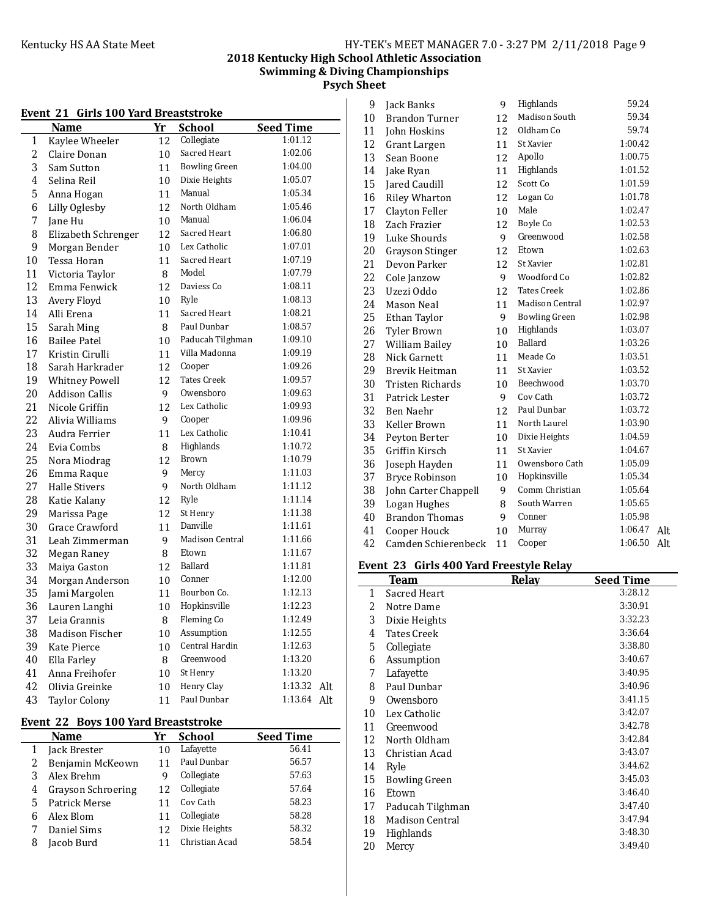# **2018 Kentucky High School Athletic Association Swimming & Diving Championships**

**Psych Sheet**

|    | Event 21<br>Girls 100 Yard Breaststroke |    |                      |                  |
|----|-----------------------------------------|----|----------------------|------------------|
|    | Name                                    | Yr | School               | <b>Seed Time</b> |
| 1  | Kaylee Wheeler                          | 12 | Collegiate           | 1:01.12          |
| 2  | Claire Donan                            | 10 | Sacred Heart         | 1:02.06          |
| 3  | Sam Sutton                              | 11 | <b>Bowling Green</b> | 1:04.00          |
| 4  | Selina Reil                             | 10 | Dixie Heights        | 1:05.07          |
| 5  | Anna Hogan                              | 11 | Manual               | 1:05.34          |
| 6  | Lilly Oglesby                           | 12 | North Oldham         | 1:05.46          |
| 7  | Jane Hu                                 | 10 | Manual               | 1:06.04          |
| 8  | Elizabeth Schrenger                     | 12 | Sacred Heart         | 1:06.80          |
| 9  | Morgan Bender                           | 10 | Lex Catholic         | 1:07.01          |
| 10 | Tessa Horan                             | 11 | Sacred Heart         | 1:07.19          |
| 11 | Victoria Taylor                         | 8  | Model                | 1:07.79          |
| 12 | Emma Fenwick                            | 12 | Daviess Co           | 1:08.11          |
| 13 | Avery Floyd                             | 10 | Ryle                 | 1:08.13          |
| 14 | Alli Erena                              | 11 | Sacred Heart         | 1:08.21          |
| 15 | Sarah Ming                              | 8  | Paul Dunbar          | 1:08.57          |
| 16 | <b>Bailee Patel</b>                     | 10 | Paducah Tilghman     | 1:09.10          |
| 17 | Kristin Cirulli                         | 11 | Villa Madonna        | 1:09.19          |
| 18 | Sarah Harkrader                         | 12 | Cooper               | 1:09.26          |
| 19 | <b>Whitney Powell</b>                   | 12 | <b>Tates Creek</b>   | 1:09.57          |
| 20 | <b>Addison Callis</b>                   | 9  | Owensboro            | 1:09.63          |
| 21 | Nicole Griffin                          | 12 | Lex Catholic         | 1:09.93          |
| 22 | Alivia Williams                         | 9  | Cooper               | 1:09.96          |
| 23 | Audra Ferrier                           | 11 | Lex Catholic         | 1:10.41          |
| 24 | Evia Combs                              | 8  | Highlands            | 1:10.72          |
| 25 | Nora Miodrag                            | 12 | <b>Brown</b>         | 1:10.79          |
| 26 | Emma Raque                              | 9  | Mercy                | 1:11.03          |
| 27 | <b>Halle Stivers</b>                    | 9  | North Oldham         | 1:11.12          |
| 28 | Katie Kalany                            | 12 | Ryle                 | 1:11.14          |
| 29 | Marissa Page                            | 12 | St Henry             | 1:11.38          |
| 30 | Grace Crawford                          | 11 | Danville             | 1:11.61          |
| 31 | Leah Zimmerman                          | 9  | Madison Central      | 1:11.66          |
| 32 | Megan Raney                             | 8  | Etown                | 1:11.67          |
| 33 | Maiya Gaston                            | 12 | Ballard              | 1:11.81          |
| 34 | Morgan Anderson                         | 10 | Conner               | 1:12.00          |
| 35 | Jami Margolen                           | 11 | Bourbon Co.          | 1:12.13          |
| 36 | Lauren Langhi                           | 10 | Hopkinsville         | 1:12.23          |
| 37 | Leia Grannis                            | 8  | Fleming Co           | 1:12.49          |
| 38 | <b>Madison Fischer</b>                  | 10 | Assumption           | 1:12.55          |
| 39 | Kate Pierce                             | 10 | Central Hardin       | 1:12.63          |
| 40 | Ella Farley                             | 8  | Greenwood            | 1:13.20          |
| 41 | Anna Freihofer                          | 10 | St Henry             | 1:13.20          |
| 42 | Olivia Greinke                          | 10 | Henry Clay           | 1:13.32<br>Alt   |
| 43 | <b>Taylor Colony</b>                    | 11 | Paul Dunbar          | 1:13.64<br>Alt   |

# Event 22 Boys 100 Yard Breaststroke

|   | <b>Name</b>        | Yr | <b>School</b>  | <b>Seed Time</b> |
|---|--------------------|----|----------------|------------------|
|   | Jack Brester       | 10 | Lafayette      | 56.41            |
| 2 | Benjamin McKeown   | 11 | Paul Dunbar    | 56.57            |
| 3 | Alex Brehm         | 9  | Collegiate     | 57.63            |
| 4 | Grayson Schroering | 12 | Collegiate     | 57.64            |
| 5 | Patrick Merse      |    | Cov Cath       | 58.23            |
| 6 | Alex Blom          |    | Collegiate     | 58.28            |
|   | Daniel Sims        | 12 | Dixie Heights  | 58.32            |
| 8 | Jacob Burd         |    | Christian Acad | 58.54            |

| 9  | Jack Banks            | 9  | Highlands              | 59.24   |     |
|----|-----------------------|----|------------------------|---------|-----|
| 10 | <b>Brandon Turner</b> | 12 | Madison South          | 59.34   |     |
| 11 | John Hoskins          | 12 | Oldham Co              | 59.74   |     |
| 12 | Grant Largen          | 11 | St Xavier              | 1:00.42 |     |
| 13 | Sean Boone            | 12 | Apollo                 | 1:00.75 |     |
| 14 | Jake Ryan             | 11 | Highlands              | 1:01.52 |     |
| 15 | Jared Caudill         | 12 | Scott Co               | 1:01.59 |     |
| 16 | <b>Riley Wharton</b>  | 12 | Logan Co               | 1:01.78 |     |
| 17 | Clayton Feller        | 10 | Male                   | 1:02.47 |     |
| 18 | Zach Frazier          | 12 | <b>Boyle Co</b>        | 1:02.53 |     |
| 19 | Luke Shourds          | 9  | Greenwood              | 1:02.58 |     |
| 20 | Grayson Stinger       | 12 | Etown                  | 1:02.63 |     |
| 21 | Devon Parker          | 12 | St Xavier              | 1:02.81 |     |
| 22 | Cole Janzow           | 9  | Woodford Co            | 1:02.82 |     |
| 23 | Uzezi Oddo            | 12 | <b>Tates Creek</b>     | 1:02.86 |     |
| 24 | Mason Neal            | 11 | <b>Madison Central</b> | 1:02.97 |     |
| 25 | Ethan Taylor          | 9  | <b>Bowling Green</b>   | 1:02.98 |     |
| 26 | <b>Tyler Brown</b>    | 10 | Highlands              | 1:03.07 |     |
| 27 | William Bailey        | 10 | Ballard                | 1:03.26 |     |
| 28 | Nick Garnett          | 11 | Meade Co               | 1:03.51 |     |
| 29 | Brevik Heitman        | 11 | St Xavier              | 1:03.52 |     |
| 30 | Tristen Richards      | 10 | Beechwood              | 1:03.70 |     |
| 31 | Patrick Lester        | 9  | Cov Cath               | 1:03.72 |     |
| 32 | Ben Naehr             | 12 | Paul Dunbar            | 1:03.72 |     |
| 33 | Keller Brown          | 11 | North Laurel           | 1:03.90 |     |
| 34 | Peyton Berter         | 10 | Dixie Heights          | 1:04.59 |     |
| 35 | Griffin Kirsch        | 11 | St Xavier              | 1:04.67 |     |
| 36 | Joseph Hayden         | 11 | Owensboro Cath         | 1:05.09 |     |
| 37 | <b>Bryce Robinson</b> | 10 | Hopkinsville           | 1:05.34 |     |
| 38 | John Carter Chappell  | 9  | Comm Christian         | 1:05.64 |     |
| 39 | Logan Hughes          | 8  | South Warren           | 1:05.65 |     |
| 40 | <b>Brandon Thomas</b> | 9  | Conner                 | 1:05.98 |     |
| 41 | Cooper Houck          | 10 | Murray                 | 1:06.47 | Alt |
| 42 | Camden Schierenbeck   | 11 | Cooper                 | 1:06.50 | Alt |

# **Event 23 Girls 400 Yard Freestyle Relay**

|    |                    | Relay | <b>Seed Time</b> |
|----|--------------------|-------|------------------|
| 1  | Sacred Heart       |       | 3:28.12          |
| 2  | Notre Dame         |       | 3:30.91          |
| 3  | Dixie Heights      |       | 3:32.23          |
| 4  | <b>Tates Creek</b> |       | 3:36.64          |
| 5  | Collegiate         |       | 3:38.80          |
| 6  | Assumption         |       | 3:40.67          |
| 7  | Lafayette          |       | 3:40.95          |
| 8  | Paul Dunbar        |       | 3:40.96          |
| 9  | Owensboro          |       | 3:41.15          |
| 10 | Lex Catholic       |       | 3:42.07          |
| 11 | Greenwood          |       | 3:42.78          |
| 12 | North Oldham       |       | 3:42.84          |
| 13 | Christian Acad     |       | 3:43.07          |
| 14 | Ryle               |       | 3:44.62          |
| 15 | Bowling Green      |       | 3:45.03          |
| 16 | Etown              |       | 3:46.40          |
| 17 | Paducah Tilghman   |       | 3:47.40          |
| 18 | Madison Central    |       | 3:47.94          |
| 19 | Highlands          |       | 3:48.30          |
| 20 | Mercy              |       | 3:49.40          |

# **Event 21 Girls 100 Yard Breaststrok**